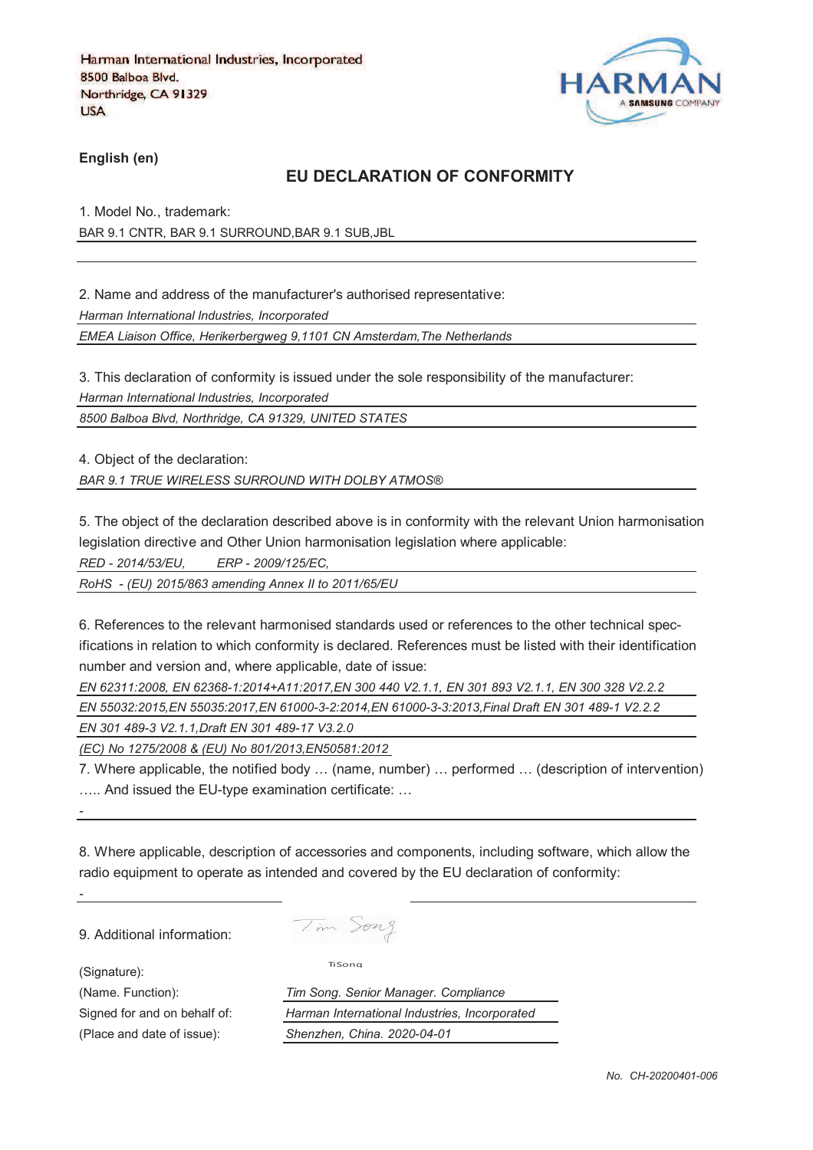

**English (en)**

## **EU DECLARATION OF CONFORMITY**

1. Model No., trademark: BAR 9.1 CNTR, BAR 9.1 SURROUND,BAR 9.1 SUB,JBL

2. Name and address of the manufacturer's authorised representative:

*Harman International Industries, Incorporated*

*EMEA Liaison Office, Herikerbergweg 9,1101 CN Amsterdam,The Netherlands*

3. This declaration of conformity is issued under the sole responsibility of the manufacturer:

*Harman International Industries, Incorporated*

*8500 Balboa Blvd, Northridge, CA 91329, UNITED STATES*

4. Object of the declaration:

*BAR 9.1 TRUE WIRELESS SURROUND WITH DOLBY ATMOS®*

5. The object of the declaration described above is in conformity with the relevant Union harmonisation legislation directive and Other Union harmonisation legislation where applicable:

*RED - 2014/53/EU, ERP - 2009/125/EC,*

*RoHS - (EU) 2015/863 amending Annex II to 2011/65/EU*

6. References to the relevant harmonised standards used or references to the other technical specifications in relation to which conformity is declared. References must be listed with their identification number and version and, where applicable, date of issue:

*EN 62311:2008, EN 62368-1:2014+A11:2017,EN 300 440 V2.1.1, EN 301 893 V2.1.1, EN 300 328 V2.2.2* 

*EN 55032:2015,EN 55035:2017,EN 61000-3-2:2014,EN 61000-3-3:2013,Final Draft EN 301 489-1 V2.2.2*

*EN 301 489-3 V2.1.1,Draft EN 301 489-17 V3.2.0*

*(EC) No 1275/2008 & (EU) No 801/2013,EN50581:2012* 

7. Where applicable, the notified body … (name, number) … performed … (description of intervention) ….. And issued the EU-type examination certificate: …

8. Where applicable, description of accessories and components, including software, which allow the radio equipment to operate as intended and covered by the EU declaration of conformity:

9. Additional information:

(Signature):

*-*

*-*

Tim Song

TiSong

(Name. Function): *Tim Song. Senior Manager. Compliance* Signed for and on behalf of: *Harman International Industries, Incorporated* (Place and date of issue): *Shenzhen, China. 2020-04-01*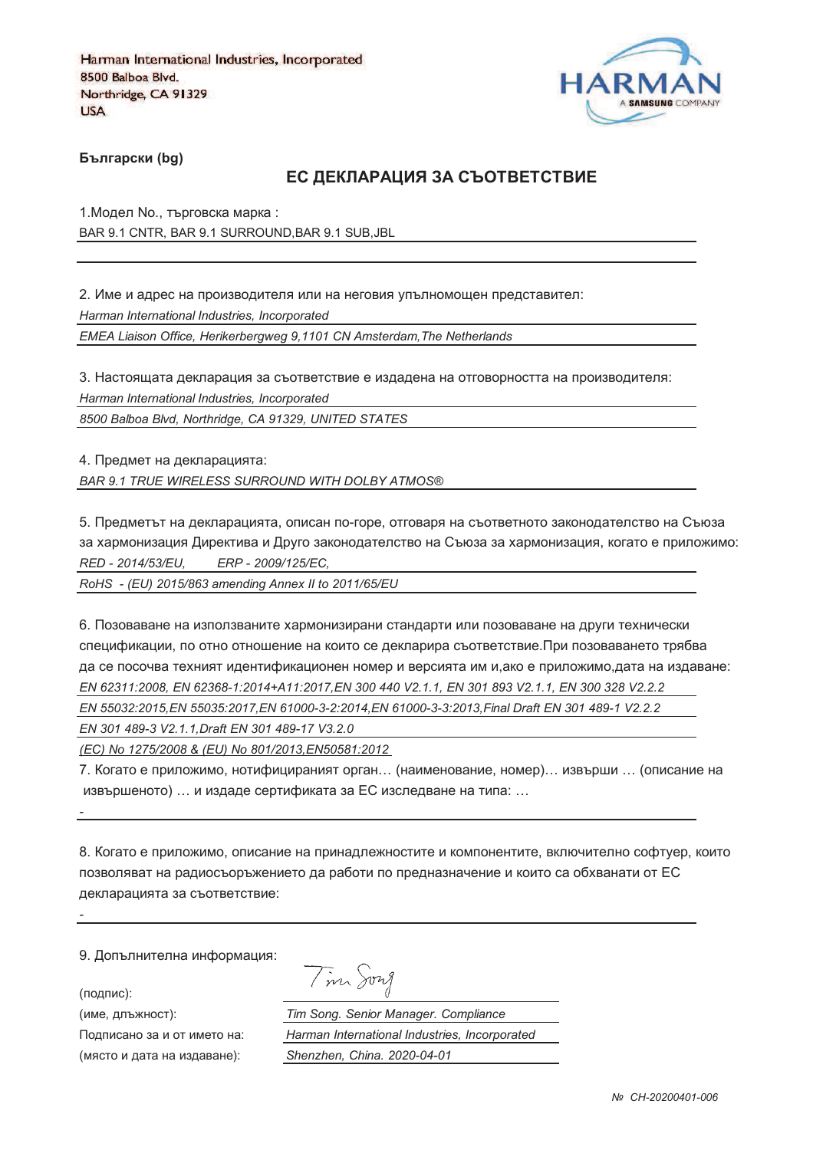

**Български (bg)** 

### ЕС ДЕКЛАРАЦИЯ ЗА СЪОТВЕТСТВИЕ

1. Модел No., търговска марка: BAR 9.1 CNTR, BAR 9.1 SURROUND,BAR 9.1 SUB,JBL

2. Име и адрес на производителя или на неговия упълномощен представител: *Harman International Industries, Incorporated EMEA Liaison Office, Herikerbergweg 9,1101 CN Amsterdam,The Netherlands*

3. Настоящата декларация за съответствие е издадена на отговорността на производителя: *Harman International Industries, Incorporated*

*8500 Balboa Blvd, Northridge, CA 91329, UNITED STATES*

4. Предмет на декларацията:

*BAR 9.1 TRUE WIRELESS SURROUND WITH DOLBY ATMOS®*

5. Предметът на декларацията, описан по-горе, отговаря на съответното законодателство на Съюза за хармонизация Директива и Друго законодателство на Съюза за хармонизация, когато е приложимо: *RED - 2014/53/EU, ERP - 2009/125/EC,*

*RoHS - (EU) 2015/863 amending Annex II to 2011/65/EU*

6. Позоваване на използваните хармонизирани стандарти или позоваване на други технически спецификации, по отно отношение на които се декларира съответствие.При позоваването трябва да се посочва техният идентификационен номер и версията им и,ако е приложимо,дата на издаване: *EN 62311:2008, EN 62368-1:2014+A11:2017,EN 300 440 V2.1.1, EN 301 893 V2.1.1, EN 300 328 V2.2.2 EN 55032:2015,EN 55035:2017,EN 61000-3-2:2014,EN 61000-3-3:2013,Final Draft EN 301 489-1 V2.2.2*

*EN 301 489-3 V2.1.1,Draft EN 301 489-17 V3.2.0*

*(EC) No 1275/2008 & (EU) No 801/2013,EN50581:2012* 

7. Когато е приложимо, нотифицираният орган… (наименование, номер)… извърши … (описание на извършеното) … и издаде сертификата за ЕС изследване на типа: …

8. Когато е приложимо, описание на принадлежностите и компонентите, включително софтуер, които позволяват на радиосъоръжението да работи по предназначение и които са обхванати от ЕС декларацията за съответствие:

9. Допълнителна информация:

(подпис):

*-*

*-*

(име, длъжност):

Подписано за и от името (място и дата на издав

Tim Song

): *Tim Song. Senior Manager. Compliance* : *Harman International Industries, Incorporated* ): *Shenzhen, China. 2020-04-01*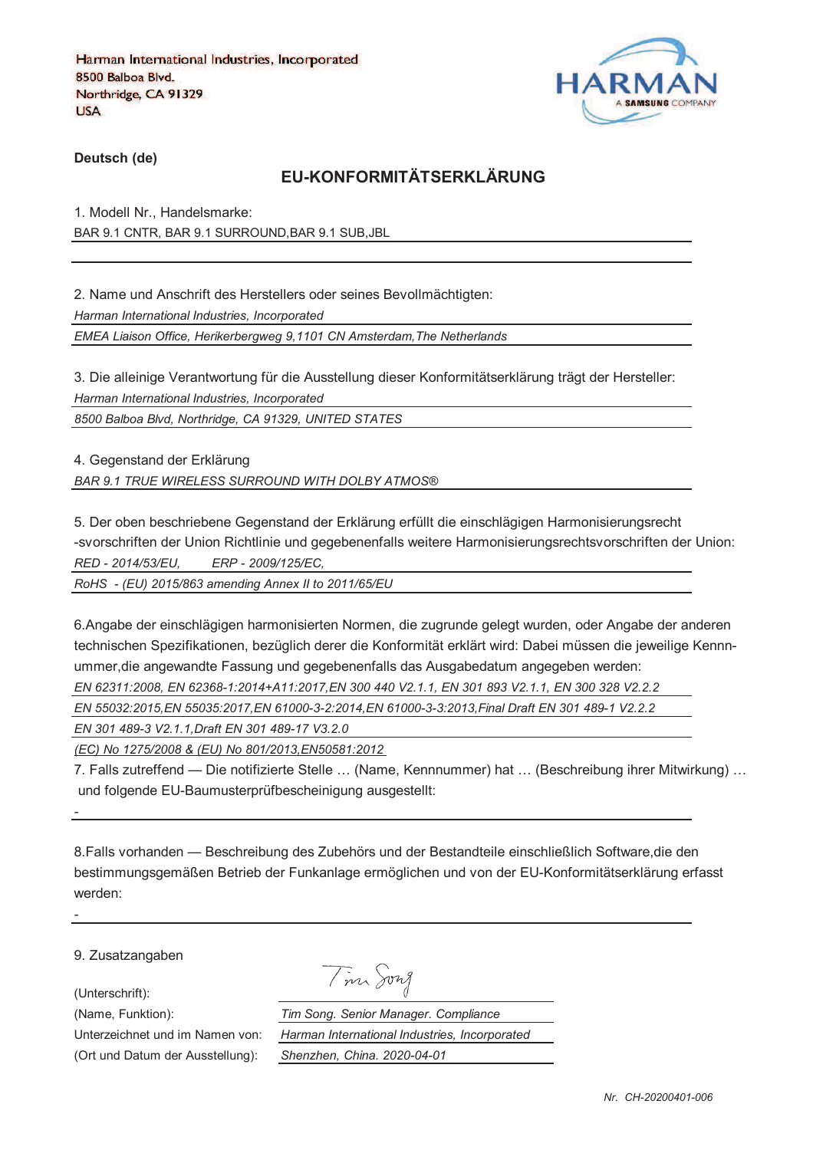

**Deutsch (de)**

## **EU-KONFORMITÄTSERKLÄRUNG**

1. Modell Nr., Handelsmarke: BAR 9.1 CNTR, BAR 9.1 SURROUND,BAR 9.1 SUB,JBL

2. Name und Anschrift des Herstellers oder seines Bevollmächtigten: *Harman International Industries, Incorporated EMEA Liaison Office, Herikerbergweg 9,1101 CN Amsterdam,The Netherlands*

3. Die alleinige Verantwortung für die Ausstellung dieser Konformitätserklärung trägt der Hersteller: *Harman International Industries, Incorporated*

*8500 Balboa Blvd, Northridge, CA 91329, UNITED STATES*

4. Gegenstand der Erklärung *BAR 9.1 TRUE WIRELESS SURROUND WITH DOLBY ATMOS®*

5. Der oben beschriebene Gegenstand der Erklärung erfüllt die einschlägigen Harmonisierungsrecht -svorschriften der Union Richtlinie und gegebenenfalls weitere Harmonisierungsrechtsvorschriften der Union: *RED - 2014/53/EU, ERP - 2009/125/EC,*

*RoHS - (EU) 2015/863 amending Annex II to 2011/65/EU*

6.Angabe der einschlägigen harmonisierten Normen, die zugrunde gelegt wurden, oder Angabe der anderen technischen Spezifikationen, bezüglich derer die Konformität erklärt wird: Dabei müssen die jeweilige Kennnummer,die angewandte Fassung und gegebenenfalls das Ausgabedatum angegeben werden:

*EN 62311:2008, EN 62368-1:2014+A11:2017,EN 300 440 V2.1.1, EN 301 893 V2.1.1, EN 300 328 V2.2.2* 

*EN 55032:2015,EN 55035:2017,EN 61000-3-2:2014,EN 61000-3-3:2013,Final Draft EN 301 489-1 V2.2.2*

*EN 301 489-3 V2.1.1,Draft EN 301 489-17 V3.2.0*

*(EC) No 1275/2008 & (EU) No 801/2013,EN50581:2012* 

7. Falls zutreffend — Die notifizierte Stelle … (Name, Kennnummer) hat … (Beschreibung ihrer Mitwirkung) … und folgende EU-Baumusterprüfbescheinigung ausgestellt:

8.Falls vorhanden — Beschreibung des Zubehörs und der Bestandteile einschließlich Software,die den bestimmungsgemäßen Betrieb der Funkanlage ermöglichen und von der EU-Konformitätserklärung erfasst werden:

9. Zusatzangaben

(Unterschrift):

*-*

*-*

Tim Song

(Name, Funktion): *Tim Song. Senior Manager. Compliance* Unterzeichnet und im Namen von: *Harman International Industries, Incorporated* (Ort und Datum der Ausstellung): *Shenzhen, China. 2020-04-01*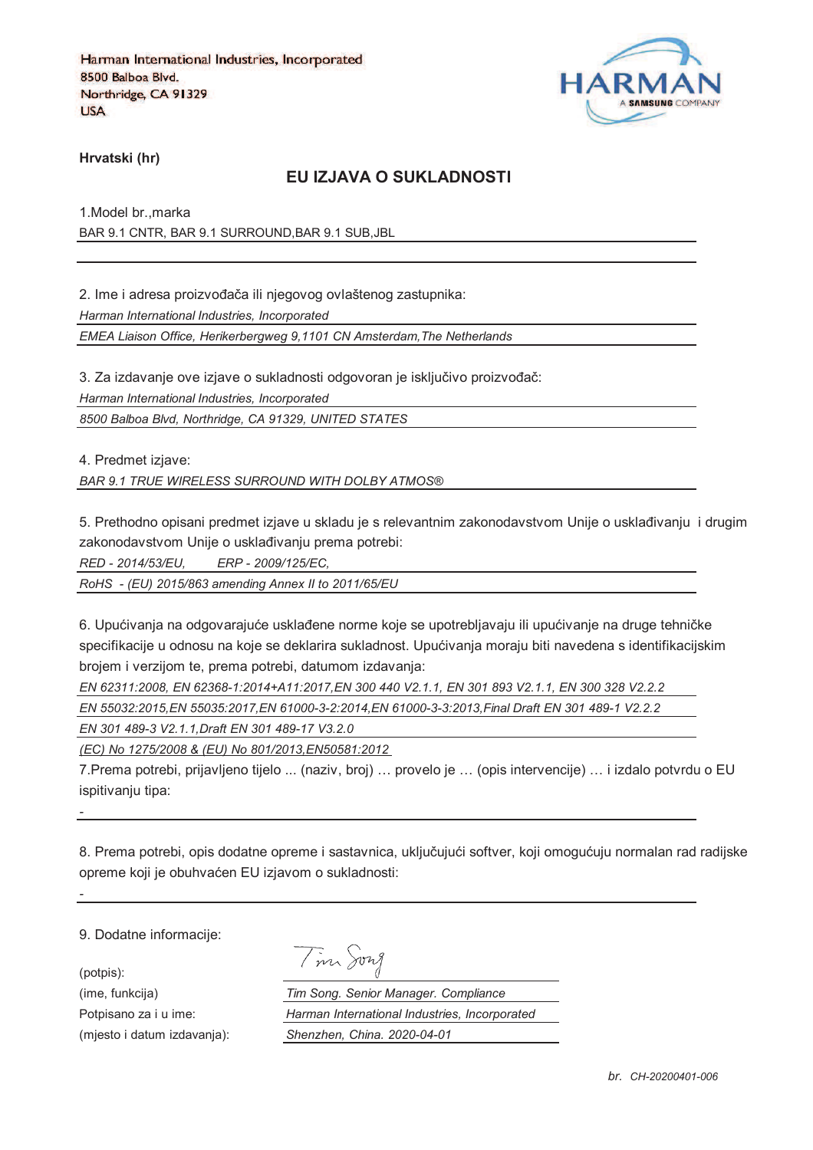

**Hrvatski (hr)**

### **EU IZJAVA O SUKLADNOSTI**

1.Model br.,marka BAR 9.1 CNTR, BAR 9.1 SURROUND,BAR 9.1 SUB,JBL

2. Ime i adresa proizvođača ili njegovog ovlaštenog zastupnika: *Harman International Industries, Incorporated EMEA Liaison Office, Herikerbergweg 9,1101 CN Amsterdam,The Netherlands*

3. Za izdavanje ove izjave o sukladnosti odgovoran je isključivo proizvođač: *Harman International Industries, Incorporated*

*8500 Balboa Blvd, Northridge, CA 91329, UNITED STATES*

4. Predmet izjave:

*BAR 9.1 TRUE WIRELESS SURROUND WITH DOLBY ATMOS®*

5. Prethodno opisani predmet izjave u skladu je s relevantnim zakonodavstvom Unije o usklađivanju i drugim zakonodavstvom Unije o usklađivanju prema potrebi:

*RED - 2014/53/EU, ERP - 2009/125/EC,*

*RoHS - (EU) 2015/863 amending Annex II to 2011/65/EU*

6. Upućivanja na odgovarajuće usklađene norme koje se upotrebljavaju ili upućivanje na druge tehničke specifikacije u odnosu na koje se deklarira sukladnost. Upućivanja moraju biti navedena s identifikacijskim brojem i verzijom te, prema potrebi, datumom izdavanja:

*EN 62311:2008, EN 62368-1:2014+A11:2017,EN 300 440 V2.1.1, EN 301 893 V2.1.1, EN 300 328 V2.2.2 EN 55032:2015,EN 55035:2017,EN 61000-3-2:2014,EN 61000-3-3:2013,Final Draft EN 301 489-1 V2.2.2*

*EN 301 489-3 V2.1.1,Draft EN 301 489-17 V3.2.0*

*(EC) No 1275/2008 & (EU) No 801/2013,EN50581:2012* 

7.Prema potrebi, prijavljeno tijelo ... (naziv, broj) … provelo je … (opis intervencije) … i izdalo potvrdu o EU ispitivaniu tipa:

8. Prema potrebi, opis dodatne opreme i sastavnica, uključujući softver, koji omogućuju normalan rad radijske opreme koji je obuhvaćen EU izjavom o sukladnosti:

9. Dodatne informacije:

*-*

*-*

(potpis):

|  | vw<br>71 |
|--|----------|
|  |          |

(ime, funkcija) *Tim Song. Senior Manager. Compliance* Potpisano za i u ime: *Harman International Industries, Incorporated* (mjesto i datum izdavanja): *Shenzhen, China. 2020-04-01*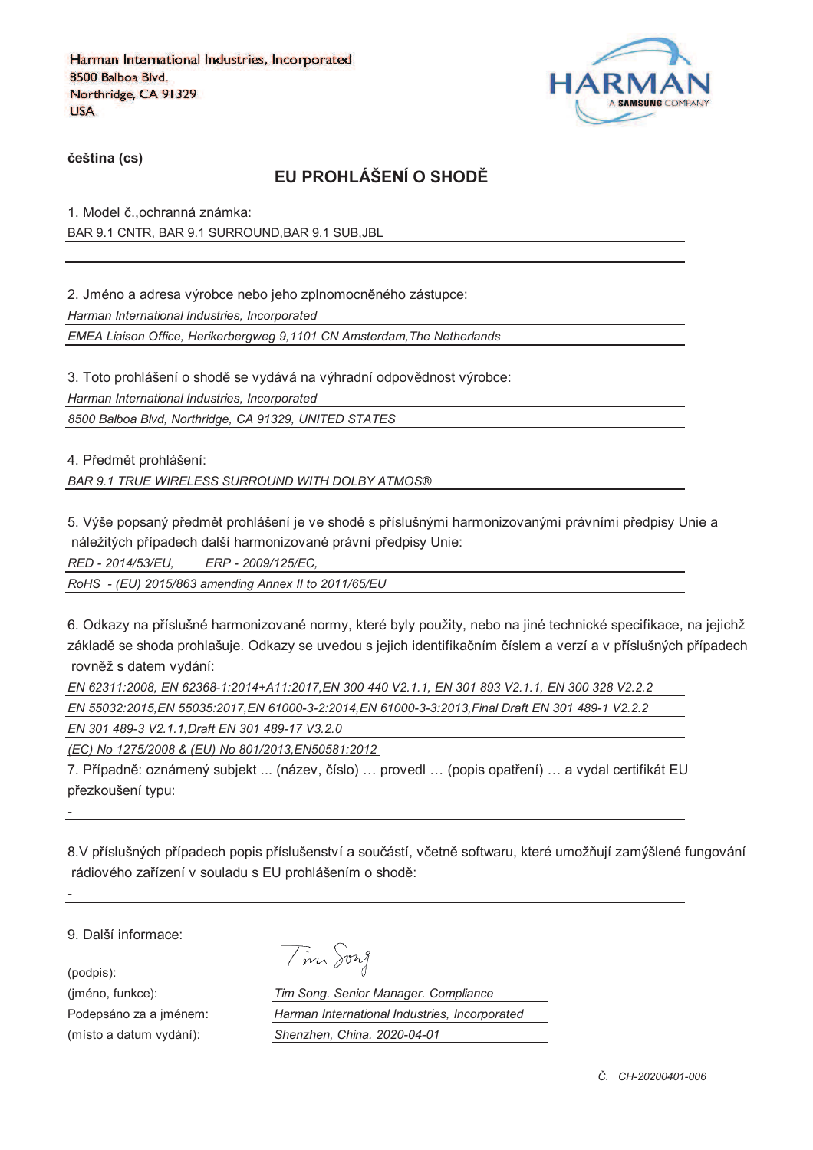

**%eština (cs)**

# **EU PROHLÁŠENÍ O SHOD&**

1. Model č., ochranná známka: BAR 9.1 CNTR, BAR 9.1 SURROUND,BAR 9.1 SUB,JBL

2. Jméno a adresa výrobce nebo jeho zplnomocněného zástupce:

*Harman International Industries, Incorporated*

*EMEA Liaison Office, Herikerbergweg 9,1101 CN Amsterdam,The Netherlands*

3. Toto prohlášení o shodě se vydává na výhradní odpovědnost výrobce: *Harman International Industries, Incorporated*

*8500 Balboa Blvd, Northridge, CA 91329, UNITED STATES*

4. Předmět prohlášení:

*BAR 9.1 TRUE WIRELESS SURROUND WITH DOLBY ATMOS®*

5. Výše popsaný předmět prohlášení je ve shodě s příslušnými harmonizovanými právními předpisy Unie a náležitých případech další harmonizované právní předpisy Unie:

*RED - 2014/53/EU, ERP - 2009/125/EC,*

*RoHS - (EU) 2015/863 amending Annex II to 2011/65/EU*

6. Odkazy na příslušné harmonizované normy, které byly použity, nebo na jiné technické specifikace, na jejichž základě se shoda prohlašuje. Odkazy se uvedou s jejich identifikačním číslem a verzí a v příslušných případech rovněž s datem vydání:

*EN 62311:2008, EN 62368-1:2014+A11:2017,EN 300 440 V2.1.1, EN 301 893 V2.1.1, EN 300 328 V2.2.2 EN 55032:2015,EN 55035:2017,EN 61000-3-2:2014,EN 61000-3-3:2013,Final Draft EN 301 489-1 V2.2.2*

*EN 301 489-3 V2.1.1,Draft EN 301 489-17 V3.2.0*

*(EC) No 1275/2008 & (EU) No 801/2013,EN50581:2012* 

7. Případně: oznámený subjekt ... (název, číslo) ... provedl ... (popis opatření) ... a vydal certifikát EU přezkoušení typu:

8.V příslušných případech popis příslušenství a součástí, včetně softwaru, které umožňují zamýšlené fungování rádiového zařízení v souladu s EU prohlášením o shodě:

9. Další informace:

(podpis):

*-*

*-*

(jméno, funkce): *Tim Song. Senior Manager. Compliance* Podepsáno za a jménem: *Harman International Industries, Incorporated* (místo a datum vydání): *Shenzhen, China. 2020-04-01*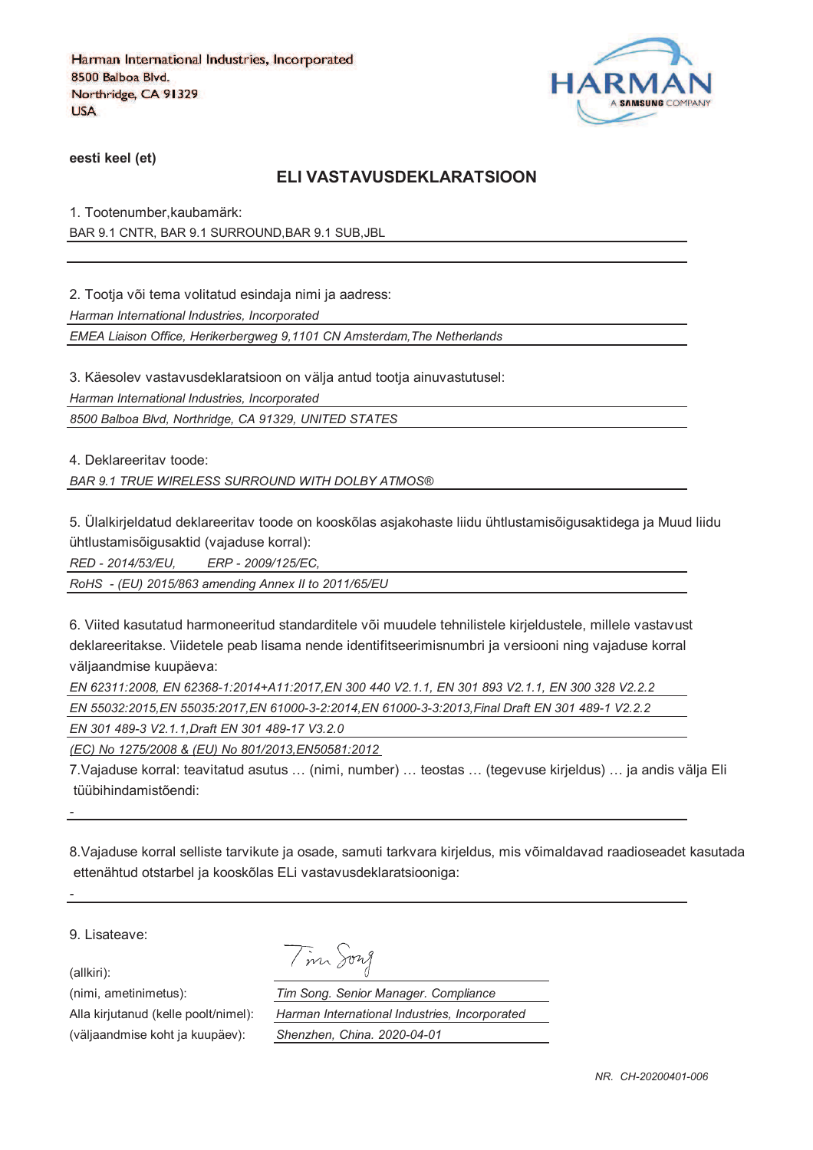

**eesti keel (et)**

#### **ELI VASTAVUSDEKLARATSIOON**

1. Tootenumber,kaubamärk: BAR 9.1 CNTR, BAR 9.1 SURROUND,BAR 9.1 SUB,JBL

2. Tootja või tema volitatud esindaja nimi ja aadress:

*Harman International Industries, Incorporated*

*EMEA Liaison Office, Herikerbergweg 9,1101 CN Amsterdam,The Netherlands*

3. Käesolev vastavusdeklaratsioon on välja antud tootja ainuvastutusel:

*Harman International Industries, Incorporated*

*8500 Balboa Blvd, Northridge, CA 91329, UNITED STATES*

4. Deklareeritav toode:

*BAR 9.1 TRUE WIRELESS SURROUND WITH DOLBY ATMOS®*

5. Ülalkirjeldatud deklareeritav toode on kooskõlas asjakohaste liidu ühtlustamisõigusaktidega ja Muud liidu ühtlustamisõigusaktid (vajaduse korral):

*RED - 2014/53/EU, ERP - 2009/125/EC,*

*RoHS - (EU) 2015/863 amending Annex II to 2011/65/EU*

6. Viited kasutatud harmoneeritud standarditele või muudele tehnilistele kirjeldustele, millele vastavust deklareeritakse. Viidetele peab lisama nende identifitseerimisnumbri ja versiooni ning vajaduse korral väljaandmise kuupäeva:

*EN 62311:2008, EN 62368-1:2014+A11:2017,EN 300 440 V2.1.1, EN 301 893 V2.1.1, EN 300 328 V2.2.2 EN 55032:2015,EN 55035:2017,EN 61000-3-2:2014,EN 61000-3-3:2013,Final Draft EN 301 489-1 V2.2.2*

*EN 301 489-3 V2.1.1,Draft EN 301 489-17 V3.2.0*

*(EC) No 1275/2008 & (EU) No 801/2013,EN50581:2012* 

7.Vajaduse korral: teavitatud asutus … (nimi, number) … teostas … (tegevuse kirjeldus) … ja andis välja Eli tüübihindamistõendi:

8.Vajaduse korral selliste tarvikute ja osade, samuti tarkvara kirjeldus, mis võimaldavad raadioseadet kasutada ettenähtud otstarbel ja kooskõlas ELi vastavusdeklaratsiooniga:

9. Lisateave:

(allkiri):

*-*

*-*

(nimi, ametinimetus): *Tim Song. Senior Manager. Compliance* Alla kirjutanud (kelle poolt/nimel): *Harman International Industries, Incorporated* (väljaandmise koht ja kuupäev): *Shenzhen, China. 2020-04-01*

Tim Song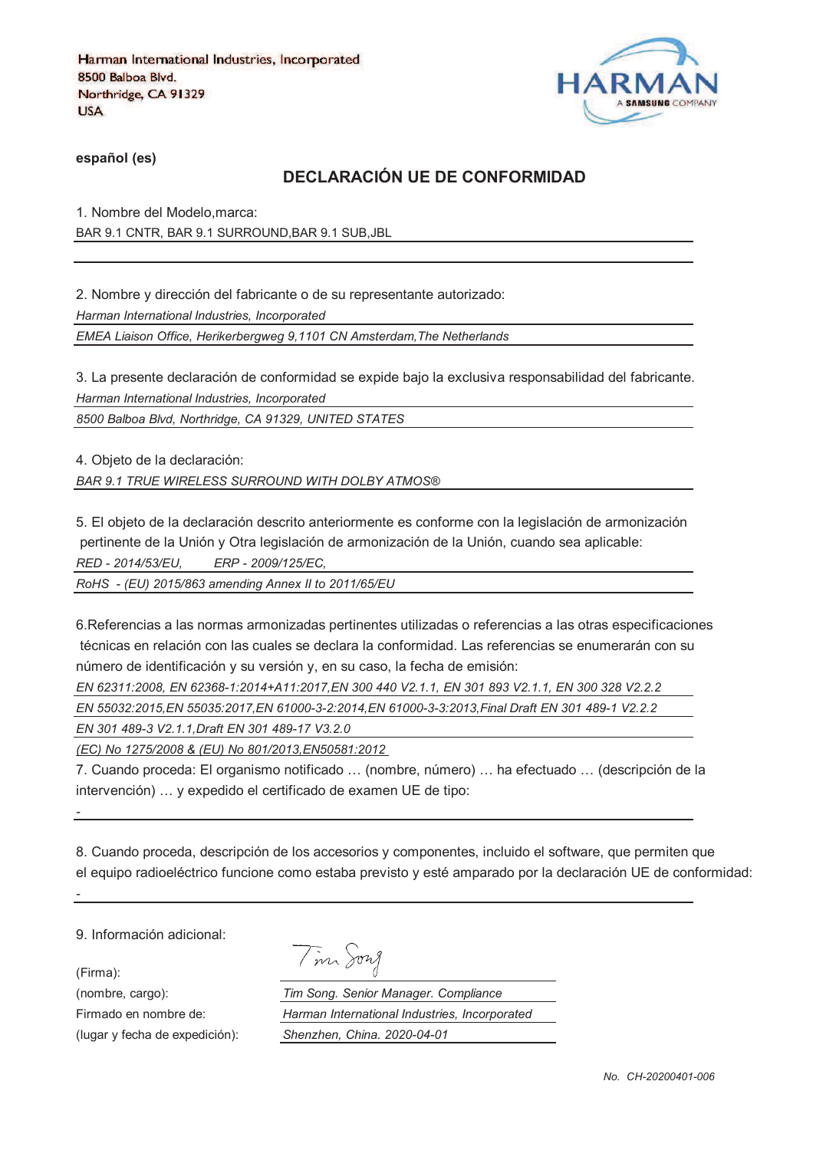

**español (es)**

## **DECLARACIÓN UE DE CONFORMIDAD**

1. Nombre del Modelo,marca: BAR 9.1 CNTR, BAR 9.1 SURROUND,BAR 9.1 SUB,JBL

2. Nombre y dirección del fabricante o de su representante autorizado:

*Harman International Industries, Incorporated*

*EMEA Liaison Office, Herikerbergweg 9,1101 CN Amsterdam,The Netherlands*

3. La presente declaración de conformidad se expide bajo la exclusiva responsabilidad del fabricante. *Harman International Industries, Incorporated*

*8500 Balboa Blvd, Northridge, CA 91329, UNITED STATES*

4. Objeto de la declaración:

*BAR 9.1 TRUE WIRELESS SURROUND WITH DOLBY ATMOS®*

5. El objeto de la declaración descrito anteriormente es conforme con la legislación de armonización pertinente de la Unión y Otra legislación de armonización de la Unión, cuando sea aplicable: *RED - 2014/53/EU, ERP - 2009/125/EC,*

*RoHS - (EU) 2015/863 amending Annex II to 2011/65/EU*

6.Referencias a las normas armonizadas pertinentes utilizadas o referencias a las otras especificaciones técnicas en relación con las cuales se declara la conformidad. Las referencias se enumerarán con su número de identificación y su versión y, en su caso, la fecha de emisión:

*EN 62311:2008, EN 62368-1:2014+A11:2017,EN 300 440 V2.1.1, EN 301 893 V2.1.1, EN 300 328 V2.2.2* 

*EN 55032:2015,EN 55035:2017,EN 61000-3-2:2014,EN 61000-3-3:2013,Final Draft EN 301 489-1 V2.2.2*

*EN 301 489-3 V2.1.1,Draft EN 301 489-17 V3.2.0*

*(EC) No 1275/2008 & (EU) No 801/2013,EN50581:2012* 

7. Cuando proceda: El organismo notificado … (nombre, número) … ha efectuado … (descripción de la intervención) … y expedido el certificado de examen UE de tipo:

8. Cuando proceda, descripción de los accesorios y componentes, incluido el software, que permiten que el equipo radioeléctrico funcione como estaba previsto y esté amparado por la declaración UE de conformidad:

9. Información adicional:

(Firma):

*-*

*-*

(lugar y fecha de expedición): *Shenzhen, China. 2020-04-01*

|  | 172.7 |
|--|-------|
|--|-------|

(nombre, cargo): *Tim Song. Senior Manager. Compliance* Firmado en nombre de: *Harman International Industries, Incorporated*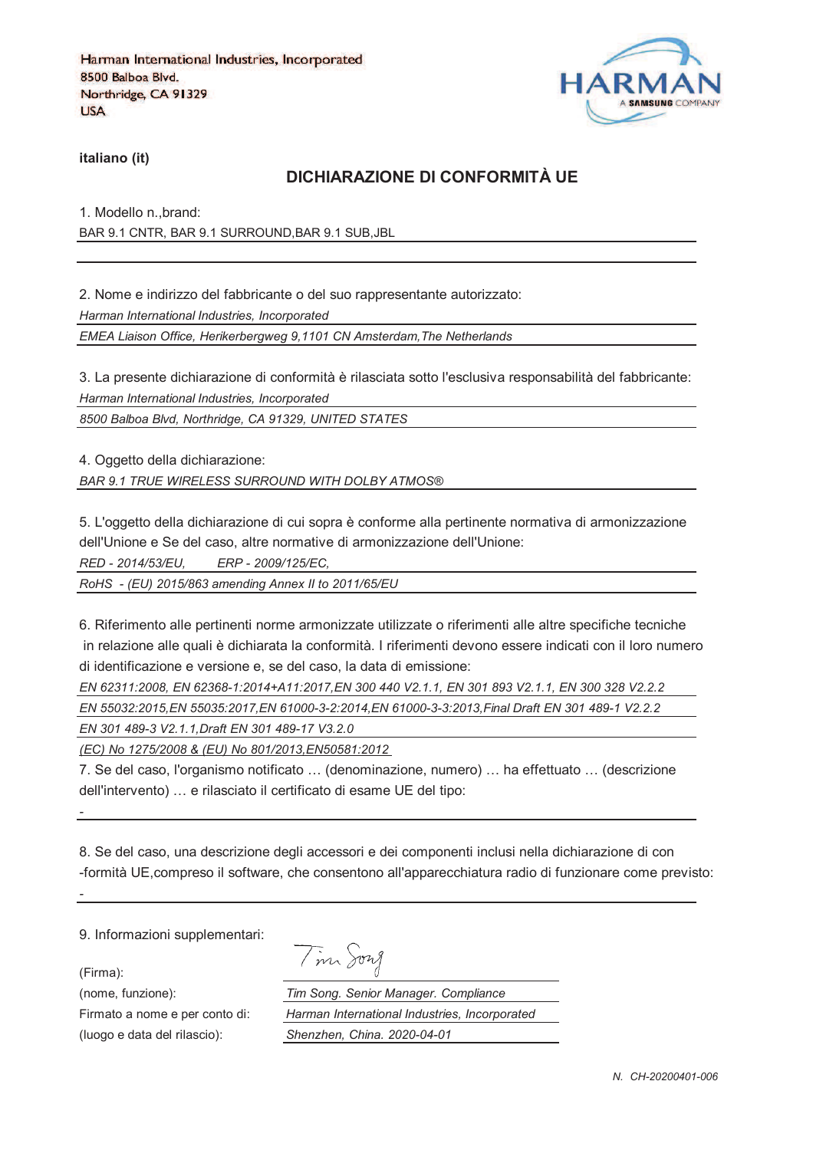

**italiano (it)**

### **DICHIARAZIONE DI CONFORMITÀ UE**

1. Modello n.,brand: BAR 9.1 CNTR, BAR 9.1 SURROUND,BAR 9.1 SUB,JBL

2. Nome e indirizzo del fabbricante o del suo rappresentante autorizzato: *Harman International Industries, Incorporated EMEA Liaison Office, Herikerbergweg 9,1101 CN Amsterdam,The Netherlands*

3. La presente dichiarazione di conformità è rilasciata sotto l'esclusiva responsabilità del fabbricante: *Harman International Industries, Incorporated*

*8500 Balboa Blvd, Northridge, CA 91329, UNITED STATES*

4. Oggetto della dichiarazione:

*BAR 9.1 TRUE WIRELESS SURROUND WITH DOLBY ATMOS®*

5. L'oggetto della dichiarazione di cui sopra è conforme alla pertinente normativa di armonizzazione dell'Unione e Se del caso, altre normative di armonizzazione dell'Unione:

*RED - 2014/53/EU, ERP - 2009/125/EC,*

*RoHS - (EU) 2015/863 amending Annex II to 2011/65/EU*

6. Riferimento alle pertinenti norme armonizzate utilizzate o riferimenti alle altre specifiche tecniche in relazione alle quali è dichiarata la conformità. I riferimenti devono essere indicati con il loro numero di identificazione e versione e, se del caso, la data di emissione:

*EN 62311:2008, EN 62368-1:2014+A11:2017,EN 300 440 V2.1.1, EN 301 893 V2.1.1, EN 300 328 V2.2.2 EN 55032:2015,EN 55035:2017,EN 61000-3-2:2014,EN 61000-3-3:2013,Final Draft EN 301 489-1 V2.2.2*

*EN 301 489-3 V2.1.1,Draft EN 301 489-17 V3.2.0*

*(EC) No 1275/2008 & (EU) No 801/2013,EN50581:2012* 

7. Se del caso, l'organismo notificato … (denominazione, numero) … ha effettuato … (descrizione dell'intervento) … e rilasciato il certificato di esame UE del tipo:

8. Se del caso, una descrizione degli accessori e dei componenti inclusi nella dichiarazione di con -formità UE,compreso il software, che consentono all'apparecchiatura radio di funzionare come previsto:

9. Informazioni supplementari:

(Firma):

*-*

*-*

Tim Song

(nome, funzione): *Tim Song. Senior Manager. Compliance* Firmato a nome e per conto di: *Harman International Industries, Incorporated* (luogo e data del rilascio): *Shenzhen, China. 2020-04-01*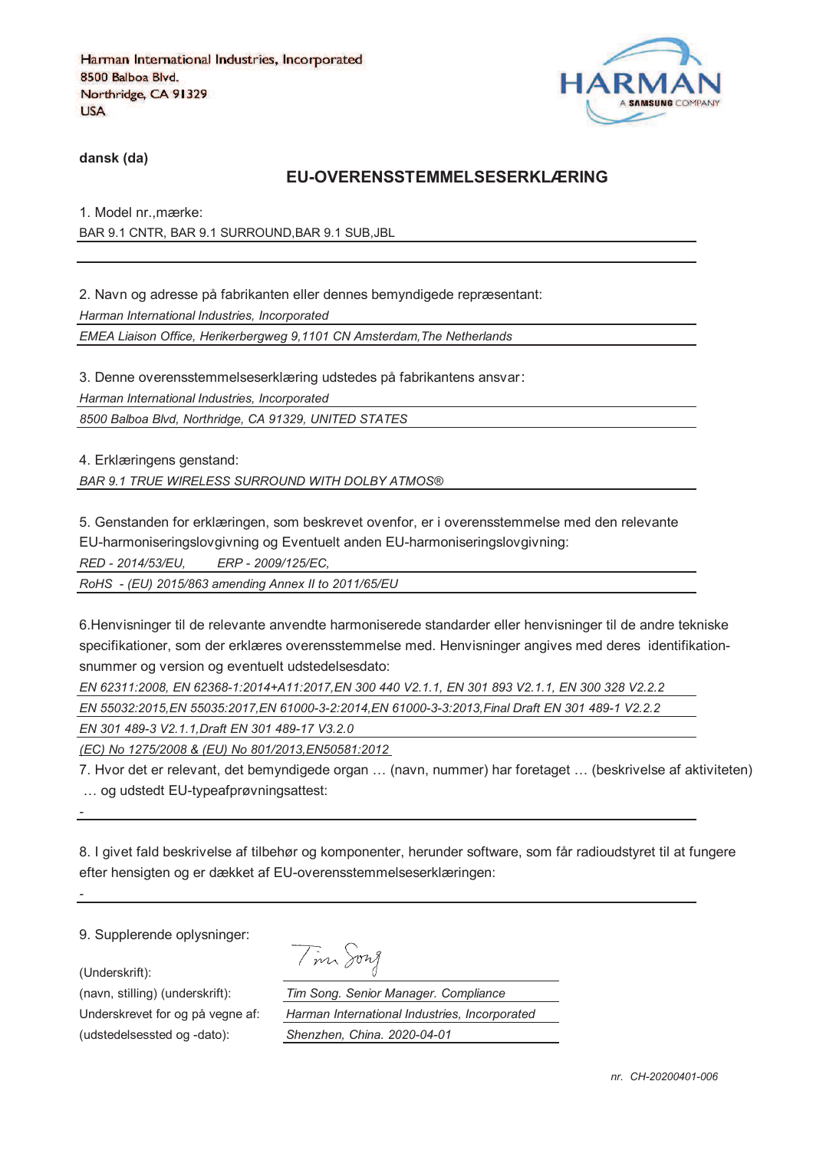

**dansk (da)**

#### **EU-OVERENSSTEMMELSESERKLÆRING**

1. Model nr.,mærke: BAR 9.1 CNTR, BAR 9.1 SURROUND,BAR 9.1 SUB,JBL

2. Navn og adresse på fabrikanten eller dennes bemyndigede repræsentant: *Harman International Industries, Incorporated EMEA Liaison Office, Herikerbergweg 9,1101 CN Amsterdam,The Netherlands*

3. Denne overensstemmelseserklæring udstedes på fabrikantens ansvar *Harman International Industries, Incorporated 8500 Balboa Blvd, Northridge, CA 91329, UNITED STATES*

4. Erklæringens genstand:

*BAR 9.1 TRUE WIRELESS SURROUND WITH DOLBY ATMOS®*

5. Genstanden for erklæringen, som beskrevet ovenfor, er i overensstemmelse med den relevante

EU-harmoniseringslovgivning og Eventuelt anden EU-harmoniseringslovgivning:

*RED - 2014/53/EU, ERP - 2009/125/EC,*

*RoHS - (EU) 2015/863 amending Annex II to 2011/65/EU*

6.Henvisninger til de relevante anvendte harmoniserede standarder eller henvisninger til de andre tekniske specifikationer, som der erklæres overensstemmelse med. Henvisninger angives med deres identifikationsnummer og version og eventuelt udstedelsesdato:

*EN 62311:2008, EN 62368-1:2014+A11:2017,EN 300 440 V2.1.1, EN 301 893 V2.1.1, EN 300 328 V2.2.2* 

*EN 55032:2015,EN 55035:2017,EN 61000-3-2:2014,EN 61000-3-3:2013,Final Draft EN 301 489-1 V2.2.2*

*EN 301 489-3 V2.1.1,Draft EN 301 489-17 V3.2.0*

*(EC) No 1275/2008 & (EU) No 801/2013,EN50581:2012* 

7. Hvor det er relevant, det bemyndigede organ … (navn, nummer) har foretaget … (beskrivelse af aktiviteten) … og udstedt EU-typeafprøvningsattest:

8. I givet fald beskrivelse af tilbehør og komponenter, herunder software, som får radioudstyret til at fungere efter hensigten og er dækket af EU-overensstemmelseserklæringen:

9. Supplerende oplysninger:

(Underskrift):

*-*

*-*

(udstedelsessted og -dato): *Shenzhen, China. 2020-04-01*

Tim Song

(navn, stilling) (underskrift): *Tim Song. Senior Manager. Compliance* Underskrevet for og på vegne af: *Harman International Industries, Incorporated*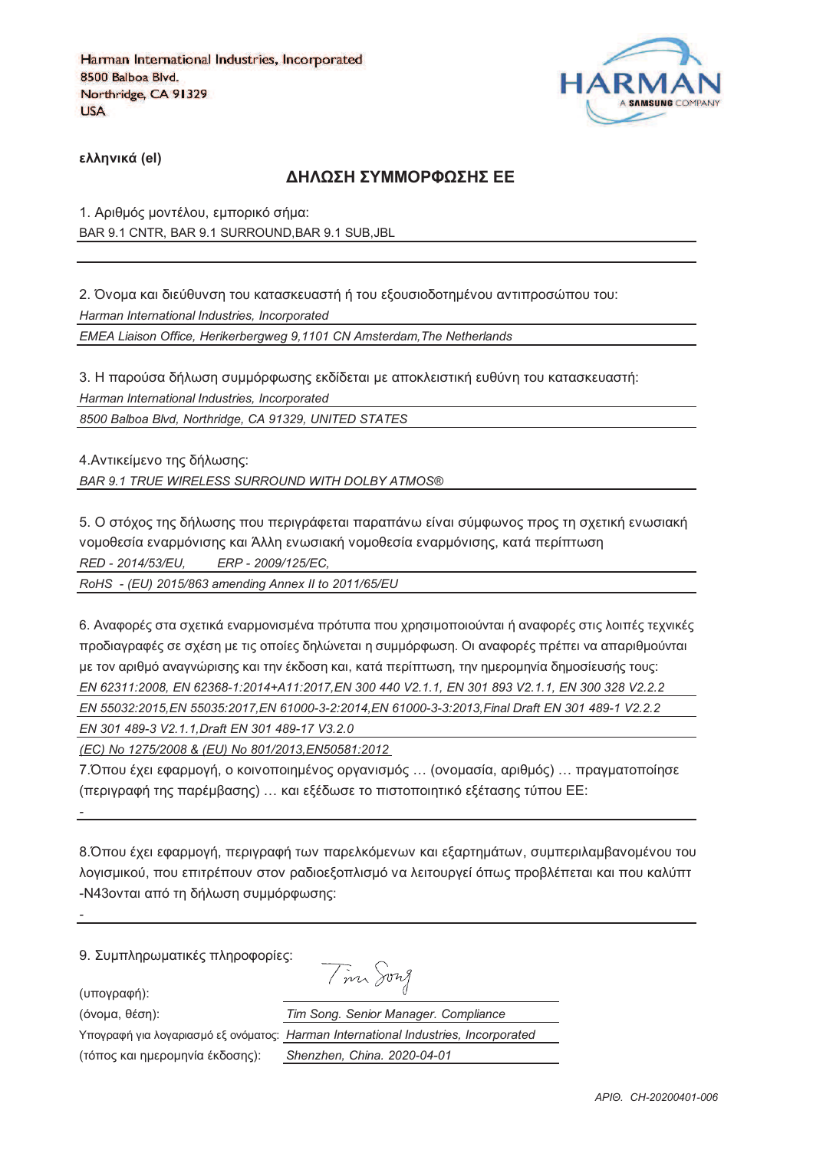

**)\*\*+,-./ (el)**

#### **ΔΗΛΟΣΗ ΣΥΜΜΟΡΦΟΣΗΣ ΕΕ**

1. Αριθμός μοντέλου, εμπορικό σήμα: BAR 9.1 CNTR, BAR 9.1 SURROUND,BAR 9.1 SUB,JBL

2. Όνομα και διεύθυνση του κατασκευαστή ή του εξουσιοδοτημένου αντιπροσώπου του: *Harman International Industries, Incorporated EMEA Liaison Office, Herikerbergweg 9,1101 CN Amsterdam,The Netherlands*

3. Η παρούσα δήλωση συμμόρφωσης εκδίδεται με αποκλειστική ευθύνη του κατασκευαστή: *Harman International Industries, Incorporated 8500 Balboa Blvd, Northridge, CA 91329, UNITED STATES*

4. Αντικείμενο της δήλωσης: *BAR 9.1 TRUE WIRELESS SURROUND WITH DOLBY ATMOS®*

5. Ο στόχος της δήλωσης που περιγράφεται παραπάνω είναι σύμφωνος προς τη σχετική ενωσιακή vομοθεσία εναρμόνισης και Άλλη ενωσιακή νομοθεσία εναρμόνισης, κατά περίπτωση *RED - 2014/53/EU, ERP - 2009/125/EC,*

*RoHS - (EU) 2015/863 amending Annex II to 2011/65/EU*

6. Αναφορές στα σχετικά εναρμονισμένα πρότυπα που χρησιμοποιούνται ή αναφορές στις λοιπές τεχνικές προδιαγραφές σε σχέση με τις οποίες δηλώνεται η συμμόρφωση. Οι αναφορές πρέπει να απαριθμούνται με τον αριθμό αναννώρισης και την έκδοση και, κατά περίπτωση, την ημερομηνία δημοσίευσής τους; *EN 62311:2008, EN 62368-1:2014+A11:2017,EN 300 440 V2.1.1, EN 301 893 V2.1.1, EN 300 328 V2.2.2 EN 55032:2015,EN 55035:2017,EN 61000-3-2:2014,EN 61000-3-3:2013,Final Draft EN 301 489-1 V2.2.2*

*EN 301 489-3 V2.1.1,Draft EN 301 489-17 V3.2.0*

*(EC) No 1275/2008 & (EU) No 801/2013,EN50581:2012* 

7.Όπου έχει εφαρμογή, ο κοινοποιημένος οργανισμός ... (ονομασία, αριθμός) ... πραγματοποίησε (περιγραφή της παρέμβασης) ... και εξέδωσε το πιστοποιητικό εξέτασης τύπου ΕΕ:

8. Όπου έχει εφαρμογή, περιγραφή των παρελκόμενων και εξαρτημάτων, συμπεριλαμβανομένου του λογισμικού, που επιτρέπουν στον ραδιοεξοπλισμό να λειτουργεί όπως προβλέπεται και που καλύπτ -N43ονται από τη δήλωση συμμόρφωσης:

9. Συμπληρωματικές πληροφορίες:

(υπογραφή):

*-*

*-*

(3652@, 18>D): *Tim Song. Senior Manager. Compliance*

 $T_{\text{max}}$   $\sum_{n=1}^{\infty}$ 

Υπογραφή για λογαριασμό εξ ονόματος: *Ι* 

(τόπος και ημερομηνία έκδοσης):

| $\sim$ $\sim$ $\sim$ $\sim$ $\sim$            |
|-----------------------------------------------|
| Tim Song. Senior Manager. Compliance          |
| Harman International Industries, Incorporated |
| Shenzhen. China. 2020-04-01                   |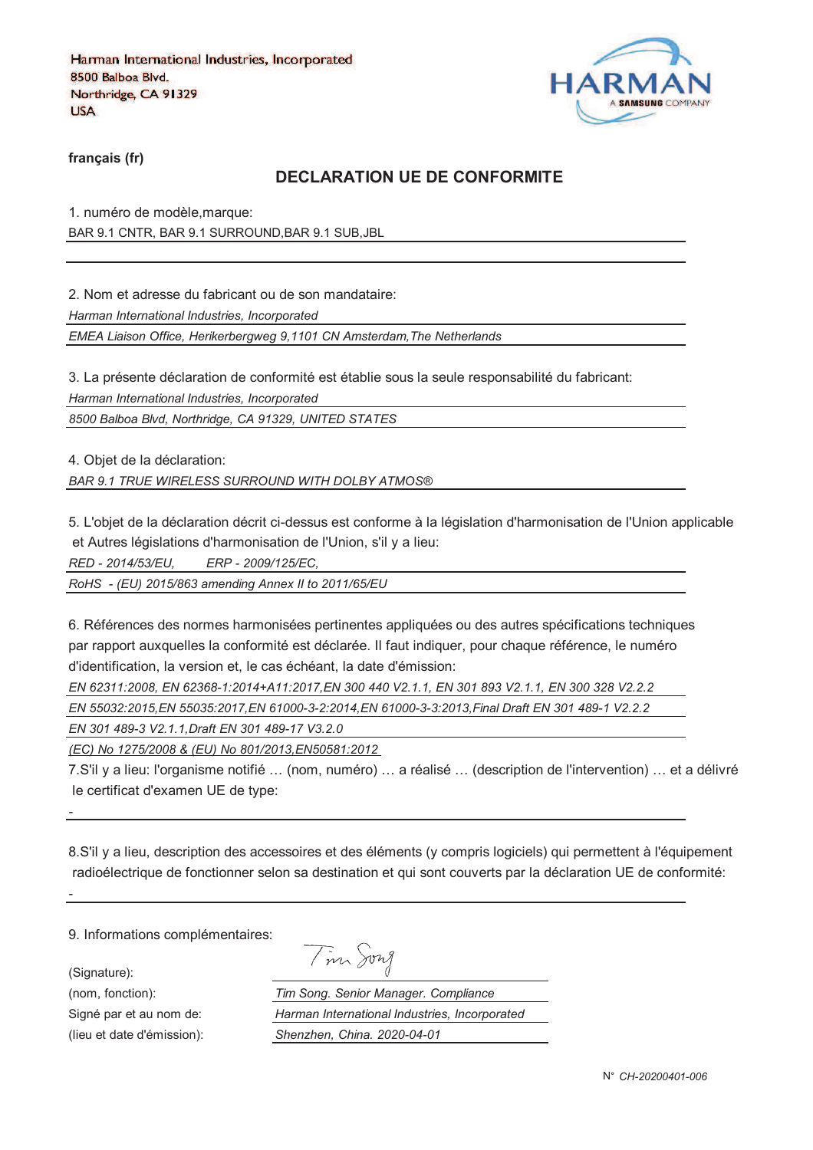

**français (fr)**

## **DECLARATION UE DE CONFORMITE**

1. numéro de modèle,marque: BAR 9.1 CNTR, BAR 9.1 SURROUND,BAR 9.1 SUB,JBL

2. Nom et adresse du fabricant ou de son mandataire:

*Harman International Industries, Incorporated*

*EMEA Liaison Office, Herikerbergweg 9,1101 CN Amsterdam,The Netherlands*

3. La présente déclaration de conformité est établie sous la seule responsabilité du fabricant:

*Harman International Industries, Incorporated*

*8500 Balboa Blvd, Northridge, CA 91329, UNITED STATES*

4. Objet de la déclaration:

*BAR 9.1 TRUE WIRELESS SURROUND WITH DOLBY ATMOS®*

5. L'objet de la déclaration décrit ci-dessus est conforme à la législation d'harmonisation de l'Union applicable et Autres législations d'harmonisation de l'Union, s'il y a lieu:

*RED - 2014/53/EU, ERP - 2009/125/EC,*

*RoHS - (EU) 2015/863 amending Annex II to 2011/65/EU*

6. Références des normes harmonisées pertinentes appliquées ou des autres spécifications techniques par rapport auxquelles la conformité est déclarée. Il faut indiquer, pour chaque référence, le numéro d'identification, la version et, le cas échéant, la date d'émission:

*EN 62311:2008, EN 62368-1:2014+A11:2017,EN 300 440 V2.1.1, EN 301 893 V2.1.1, EN 300 328 V2.2.2 EN 55032:2015,EN 55035:2017,EN 61000-3-2:2014,EN 61000-3-3:2013,Final Draft EN 301 489-1 V2.2.2*

*EN 301 489-3 V2.1.1,Draft EN 301 489-17 V3.2.0*

*(EC) No 1275/2008 & (EU) No 801/2013,EN50581:2012* 

7.S'il y a lieu: l'organisme notifié … (nom, numéro) … a réalisé … (description de l'intervention) … et a délivré le certificat d'examen UE de type:

8.S'il y a lieu, description des accessoires et des éléments (y compris logiciels) qui permettent à l'équipement radioélectrique de fonctionner selon sa destination et qui sont couverts par la déclaration UE de conformité:

9. Informations complémentaires:

(Signature):

*-*

*-*

(nom, fonction): *T*<br>
Signé par et au nom de: *F* Signé par et au nom de:

(lieu et date d'émission):

|                            | 172X |
|----------------------------|------|
| $\boldsymbol{\mathcal{M}}$ |      |

| 'im Song. Senior Manager. Compliance          |
|-----------------------------------------------|
| Harman International Industries, Incorporated |
| Shenzhen, China. 2020-04-01                   |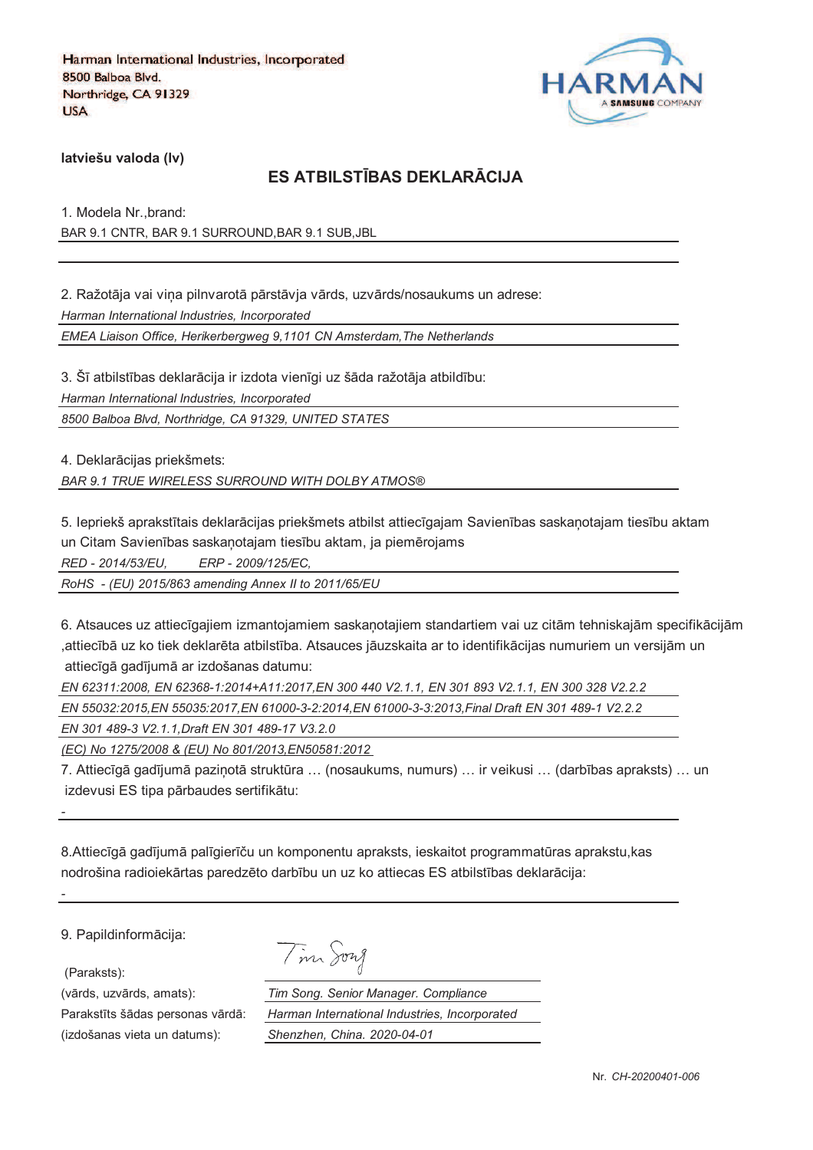

**latviešu valoda (lv)**

## **ES ATBILSTJBAS DEKLARKCIJA**

1. Modela Nr.,brand: BAR 9.1 CNTR, BAR 9.1 SURROUND,BAR 9.1 SUB,JBL

2. Ražotāja vai vina pilnvarotā pārstāvja vārds, uzvārds/nosaukums un adrese: *Harman International Industries, Incorporated EMEA Liaison Office, Herikerbergweg 9,1101 CN Amsterdam,The Netherlands*

3. Šī atbilstības deklarācija ir izdota vienīgi uz šāda ražotāja atbildību: *Harman International Industries, Incorporated 8500 Balboa Blvd, Northridge, CA 91329, UNITED STATES*

4. Deklarācijas priekšmets:

*BAR 9.1 TRUE WIRELESS SURROUND WITH DOLBY ATMOS®*

5. Iepriekš aprakstītais deklarācijas priekšmets atbilst attiecīgajam Savienības saskanotajam tiesību aktam un Citam Savienības saskaņotajam tiesību aktam, ja piemērojams

*RED - 2014/53/EU, ERP - 2009/125/EC,*

*RoHS - (EU) 2015/863 amending Annex II to 2011/65/EU*

6. Atsauces uz attiecīgajiem izmantojamiem saskanotajiem standartiem vai uz citām tehniskajām specifikācijām ,attiecībā uz ko tiek deklarēta atbilstība. Atsauces jāuzskaita ar to identifikācijas numuriem un versijām un attiecīgā gadījumā ar izdošanas datumu:

*EN 62311:2008, EN 62368-1:2014+A11:2017,EN 300 440 V2.1.1, EN 301 893 V2.1.1, EN 300 328 V2.2.2* 

*EN 55032:2015,EN 55035:2017,EN 61000-3-2:2014,EN 61000-3-3:2013,Final Draft EN 301 489-1 V2.2.2*

*EN 301 489-3 V2.1.1,Draft EN 301 489-17 V3.2.0*

*(EC) No 1275/2008 & (EU) No 801/2013,EN50581:2012* 

7. Attiecīgā gadījumā pazinotā struktūra ... (nosaukums, numurs) ... ir veikusi ... (darbības apraksts) ... un izdevusi ES tipa pārbaudes sertifikātu:

8.Attiecīgā gadījumā palīgierīču un komponentu apraksts, ieskaitot programmatūras aprakstu, kas nodrošina radioiekārtas paredzēto darbību un uz ko attiecas ES atbilstības deklarācija:

9. Papildinformācija:

(Paraksts):

*-*

*-*

(izdošanas vieta un datums): *Shenzhen, China. 2020-04-01*

| $\overline{\phantom{a}}$ | 1974 <i>A</i> |
|--------------------------|---------------|
|--------------------------|---------------|

(vārds, uzvārds, amats): *Tim Song. Senior Manager. Compliance* Parakstīts šādas personas vārdā: *Harman International Industries, Incorporated*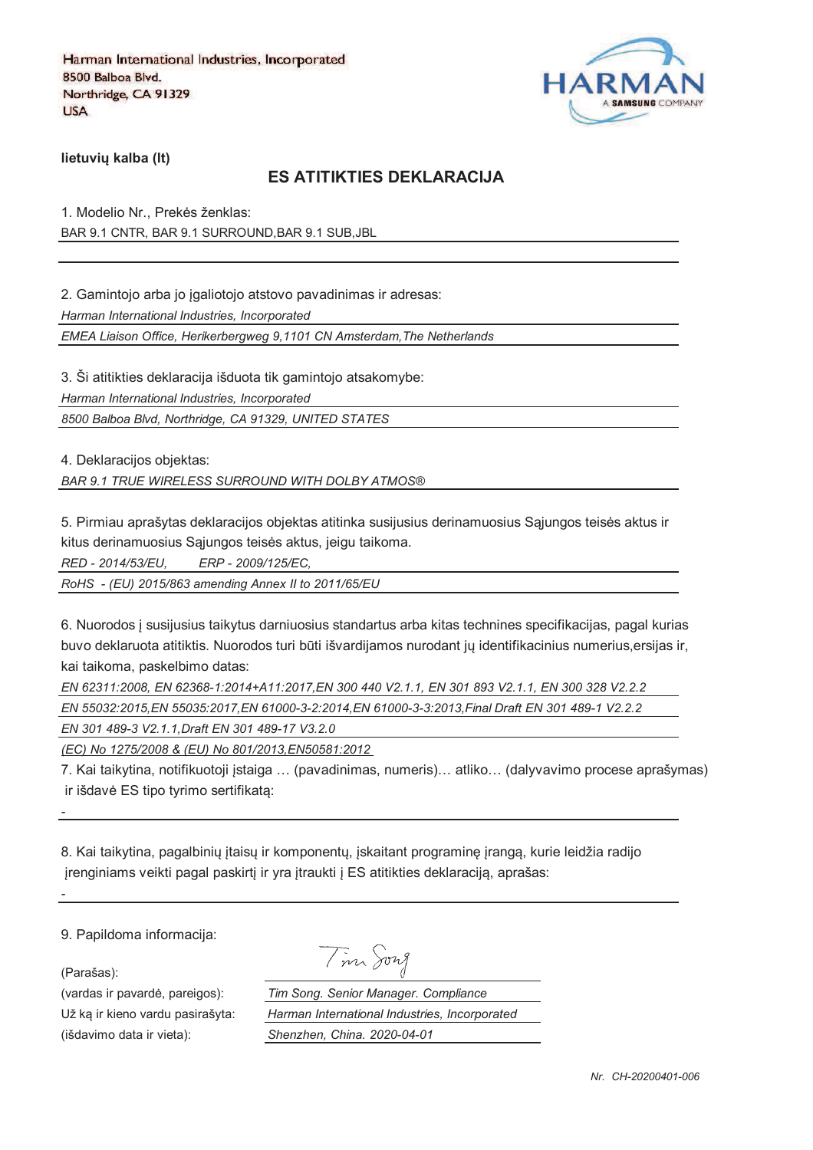

**lietuviu kalba (It)** 

### **ES ATITIKTIES DEKLARACIJA**

1. Modelio Nr., Prekės ženklas: BAR 9.1 CNTR, BAR 9.1 SURROUND,BAR 9.1 SUB,JBL

2. Gamintojo arba jo igaliotojo atstovo pavadinimas ir adresas:

*Harman International Industries, Incorporated*

*EMEA Liaison Office, Herikerbergweg 9,1101 CN Amsterdam,The Netherlands*

3. Ši atitikties deklaracija išduota tik gamintojo atsakomybe:

*Harman International Industries, Incorporated*

*8500 Balboa Blvd, Northridge, CA 91329, UNITED STATES*

4. Deklaracijos objektas:

*BAR 9.1 TRUE WIRELESS SURROUND WITH DOLBY ATMOS®*

5. Pirmiau aprašytas deklaracijos objektas atitinka susijusius derinamuosius Sajungos teisės aktus ir kitus derinamuosius Sąjungos teisės aktus, jeigu taikoma.

*RED - 2014/53/EU, ERP - 2009/125/EC,*

*RoHS - (EU) 2015/863 amending Annex II to 2011/65/EU*

6. Nuorodos ` susijusius taikytus darniuosius standartus arba kitas technines specifikacijas, pagal kurias buvo deklaruota atitiktis. Nuorodos turi būti išvardijamos nurodant jų identifikacinius numerius,ersijas ir, kai taikoma, paskelbimo datas:

*EN 62311:2008, EN 62368-1:2014+A11:2017,EN 300 440 V2.1.1, EN 301 893 V2.1.1, EN 300 328 V2.2.2* 

*EN 55032:2015,EN 55035:2017,EN 61000-3-2:2014,EN 61000-3-3:2013,Final Draft EN 301 489-1 V2.2.2*

*EN 301 489-3 V2.1.1,Draft EN 301 489-17 V3.2.0*

*(EC) No 1275/2008 & (EU) No 801/2013,EN50581:2012* 

7. Kai taikytina, notifikuotoji `staiga … (pavadinimas, numeris)… atliko… (dalyvavimo procese aprašymas) ir išdavė ES tipo tyrimo sertifikata:

8. Kai taikytina, pagalbinių įtaisų ir komponentų, įskaitant programinę įrangą, kurie leidžia radijo jrenginiams veikti pagal paskirtį ir yra įtraukti į ES atitikties deklaraciją, aprašas:

9. Papildoma informacija:

(Parašas):

*-*

*-*

(vardas ir pavardė, pareigos): Už ka ir kieno vardu pasirašyta: *Harman International Industries, Incorporated* (išdavimo data ir vieta): *Shenzhen, China. 2020-04-01*

| . . |                |      |  |
|-----|----------------|------|--|
|     | m <sub>1</sub> | Jong |  |

| im Song. Senior Manager. Compliance           |  |
|-----------------------------------------------|--|
| Iarman International Industries, Incorporated |  |
| Shenzhen, China. 2020-04-01                   |  |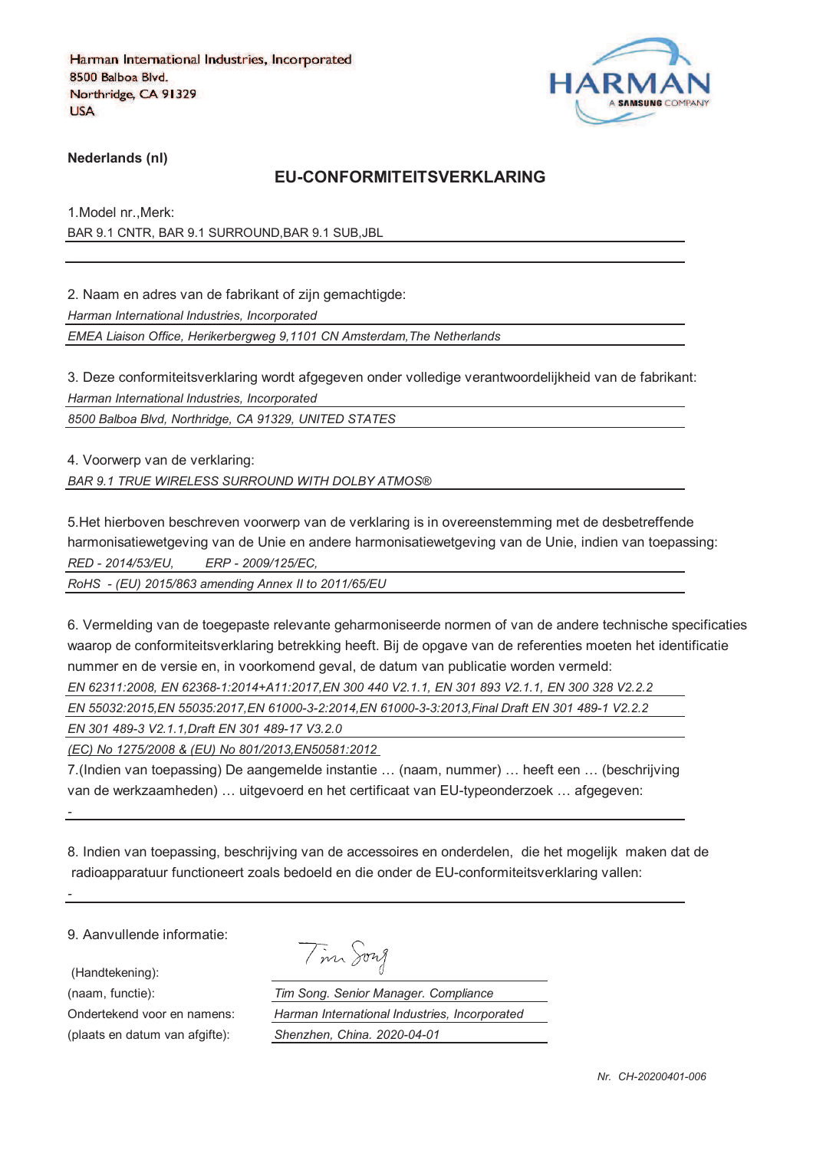

**Nederlands (nl)**

#### **EU-CONFORMITEITSVERKLARING**

1.Model nr.,Merk: BAR 9.1 CNTR, BAR 9.1 SURROUND,BAR 9.1 SUB,JBL

2. Naam en adres van de fabrikant of zijn gemachtigde:

*Harman International Industries, Incorporated*

*EMEA Liaison Office, Herikerbergweg 9,1101 CN Amsterdam,The Netherlands*

3. Deze conformiteitsverklaring wordt afgegeven onder volledige verantwoordelijkheid van de fabrikant: *Harman International Industries, Incorporated*

*8500 Balboa Blvd, Northridge, CA 91329, UNITED STATES*

4. Voorwerp van de verklaring: *BAR 9.1 TRUE WIRELESS SURROUND WITH DOLBY ATMOS®*

5.Het hierboven beschreven voorwerp van de verklaring is in overeenstemming met de desbetreffende harmonisatiewetgeving van de Unie en andere harmonisatiewetgeving van de Unie, indien van toepassing: *RED - 2014/53/EU, ERP - 2009/125/EC,*

*RoHS - (EU) 2015/863 amending Annex II to 2011/65/EU*

6. Vermelding van de toegepaste relevante geharmoniseerde normen of van de andere technische specificaties waarop de conformiteitsverklaring betrekking heeft. Bij de opgave van de referenties moeten het identificatie nummer en de versie en, in voorkomend geval, de datum van publicatie worden vermeld:

*EN 62311:2008, EN 62368-1:2014+A11:2017,EN 300 440 V2.1.1, EN 301 893 V2.1.1, EN 300 328 V2.2.2* 

*EN 55032:2015,EN 55035:2017,EN 61000-3-2:2014,EN 61000-3-3:2013,Final Draft EN 301 489-1 V2.2.2*

*EN 301 489-3 V2.1.1,Draft EN 301 489-17 V3.2.0*

*(EC) No 1275/2008 & (EU) No 801/2013,EN50581:2012* 

7.(Indien van toepassing) De aangemelde instantie … (naam, nummer) … heeft een … (beschrijving van de werkzaamheden) … uitgevoerd en het certificaat van EU-typeonderzoek … afgegeven:

8. Indien van toepassing, beschrijving van de accessoires en onderdelen, die het mogelijk maken dat de radioapparatuur functioneert zoals bedoeld en die onder de EU-conformiteitsverklaring vallen:

9. Aanvullende informatie:

(Handtekening):

*-*

*-*

(plaats en datum van afgifte): *Shenzhen, China. 2020-04-01*

Tim Song

(naam, functie): *Tim Song. Senior Manager. Compliance* Ondertekend voor en namens: *Harman International Industries, Incorporated*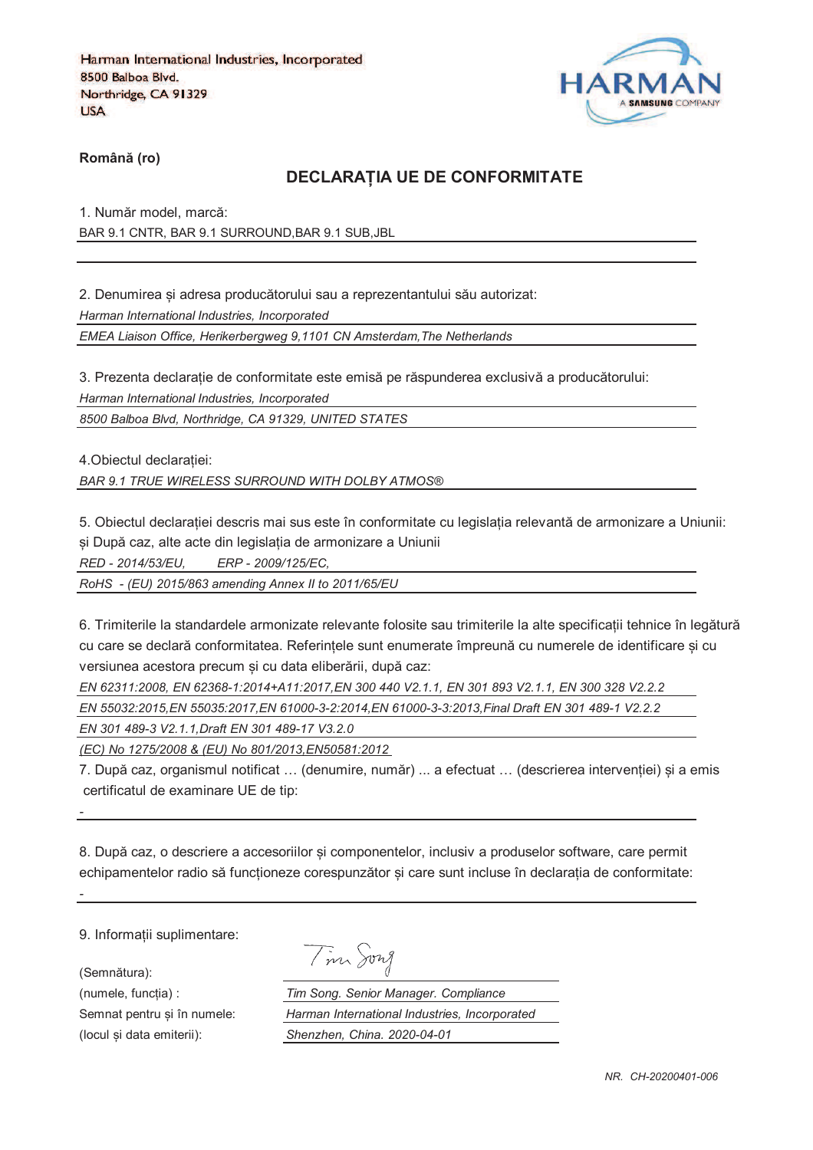

**RomânO (ro)**

#### **DECLARAPIA UE DE CONFORMITATE**

1. Număr model, marcă: BAR 9.1 CNTR, BAR 9.1 SURROUND,BAR 9.1 SUB,JBL

2. Denumirea si adresa producătorului sau a reprezentantului său autorizat:

*Harman International Industries, Incorporated*

*EMEA Liaison Office, Herikerbergweg 9,1101 CN Amsterdam,The Netherlands*

3. Prezenta declarație de conformitate este emisă pe răspunderea exclusivă a producătorului: *Harman International Industries, Incorporated*

*8500 Balboa Blvd, Northridge, CA 91329, UNITED STATES*

4. Obiectul declaratiei:

*BAR 9.1 TRUE WIRELESS SURROUND WITH DOLBY ATMOS®*

5. Obiectul declaratiei descris mai sus este în conformitate cu legislatia relevantă de armonizare a Uniunii: si După caz, alte acte din legislația de armonizare a Uniunii

*RED - 2014/53/EU, ERP - 2009/125/EC,*

*RoHS - (EU) 2015/863 amending Annex II to 2011/65/EU*

6. Trimiterile la standardele armonizate relevante folosite sau trimiterile la alte specificatii tehnice în legătură cu care se declară conformitatea. Referintele sunt enumerate împreună cu numerele de identificare si cu versiunea acestora precum si cu data eliberării, după caz:

*EN 62311:2008, EN 62368-1:2014+A11:2017,EN 300 440 V2.1.1, EN 301 893 V2.1.1, EN 300 328 V2.2.2 EN 55032:2015,EN 55035:2017,EN 61000-3-2:2014,EN 61000-3-3:2013,Final Draft EN 301 489-1 V2.2.2*

*EN 301 489-3 V2.1.1,Draft EN 301 489-17 V3.2.0*

*(EC) No 1275/2008 & (EU) No 801/2013,EN50581:2012* 

7. După caz, organismul notificat ... (denumire, număr) ... a efectuat ... (descrierea interventiei) si a emis certificatul de examinare UE de tip:

8. După caz, o descriere a accesoriilor si componentelor, inclusiv a produselor software, care permit echipamentelor radio să funcționeze corespunzător și care sunt incluse în declarația de conformitate:

9. Informatii suplimentare:

(Semnătura):

*-*

*-*

Tim Song

(numele, funcgia) : *Tim Song. Senior Manager. Compliance* Semnat pentru si în numele: *Harman International Industries, Incorporated* (locul fi data emiterii): *Shenzhen, China. 2020-04-01*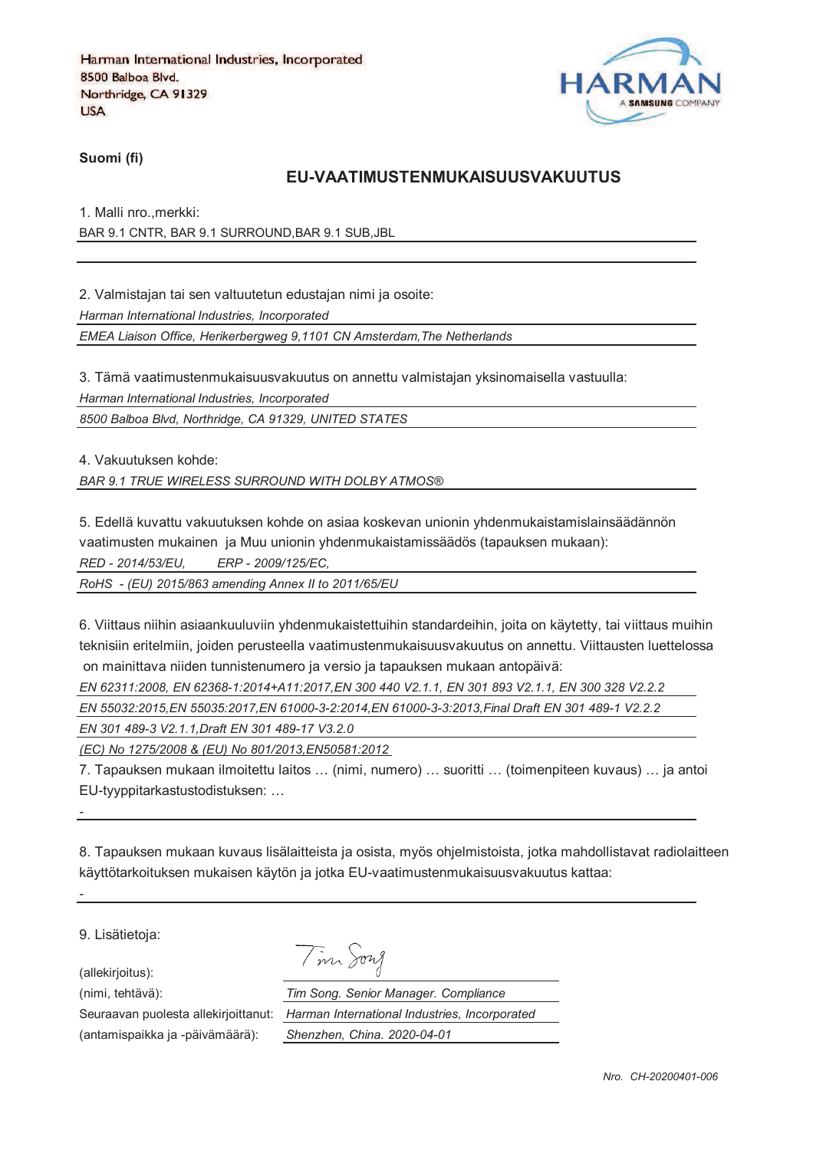

**Suomi (fi)**

#### **EU-VAATIMUSTENMUKAISUUSVAKUUTUS**

1. Malli nro.,merkki: BAR 9.1 CNTR, BAR 9.1 SURROUND,BAR 9.1 SUB,JBL

2. Valmistajan tai sen valtuutetun edustajan nimi ja osoite:

*Harman International Industries, Incorporated*

*EMEA Liaison Office, Herikerbergweg 9,1101 CN Amsterdam,The Netherlands*

3. Tämä vaatimustenmukaisuusvakuutus on annettu valmistajan yksinomaisella vastuulla: *Harman International Industries, Incorporated*

*8500 Balboa Blvd, Northridge, CA 91329, UNITED STATES*

4. Vakuutuksen kohde:

*BAR 9.1 TRUE WIRELESS SURROUND WITH DOLBY ATMOS®*

5. Edellä kuvattu vakuutuksen kohde on asiaa koskevan unionin yhdenmukaistamislainsäädännön

vaatimusten mukainen ja Muu unionin yhdenmukaistamissäädös (tapauksen mukaan):

*RED - 2014/53/EU, ERP - 2009/125/EC,*

*RoHS - (EU) 2015/863 amending Annex II to 2011/65/EU*

6. Viittaus niihin asiaankuuluviin yhdenmukaistettuihin standardeihin, joita on käytetty, tai viittaus muihin teknisiin eritelmiin, joiden perusteella vaatimustenmukaisuusvakuutus on annettu. Viittausten luettelossa on mainittava niiden tunnistenumero ja versio ja tapauksen mukaan antopäivä:

*EN 62311:2008, EN 62368-1:2014+A11:2017,EN 300 440 V2.1.1, EN 301 893 V2.1.1, EN 300 328 V2.2.2* 

*EN 55032:2015,EN 55035:2017,EN 61000-3-2:2014,EN 61000-3-3:2013,Final Draft EN 301 489-1 V2.2.2*

*EN 301 489-3 V2.1.1,Draft EN 301 489-17 V3.2.0*

*(EC) No 1275/2008 & (EU) No 801/2013,EN50581:2012* 

7. Tapauksen mukaan ilmoitettu laitos … (nimi, numero) … suoritti … (toimenpiteen kuvaus) … ja antoi EU-tyyppitarkastustodistuksen: …

8. Tapauksen mukaan kuvaus lisälaitteista ja osista, myös ohjelmistoista, jotka mahdollistavat radiolaitteen käyttötarkoituksen mukaisen käytön ja jotka EU-vaatimustenmukaisuusvakuutus kattaa:

9. Lisätietoja:

*-*

*-*

(allekirjoitus):

Tim Song

(nimi, tehtävä): *Tim Song. Senior Manager. Compliance* Seuraavan puolesta allekirjoittanut: *Harman International Industries, Incorporated* (antamispaikka ja -päivämäärä): *Shenzhen, China. 2020-04-01*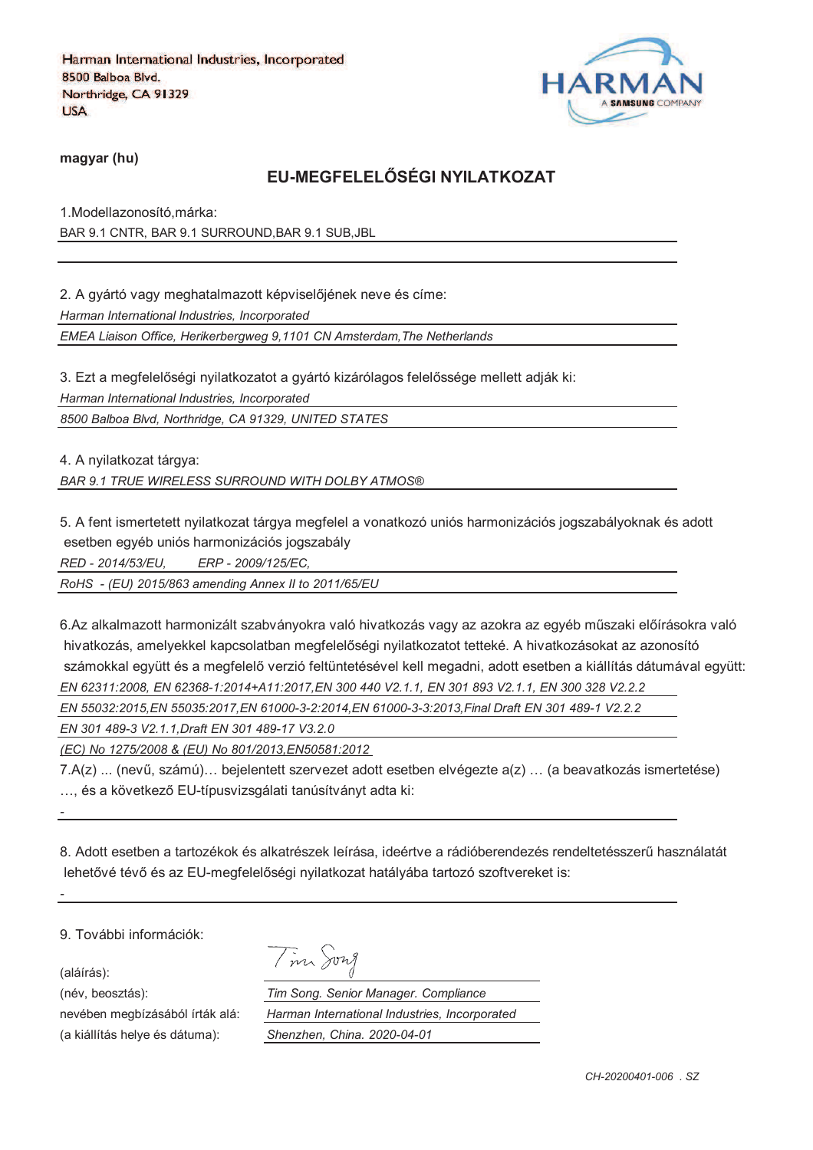

**magyar (hu)**

## **EU-MEGFELELRSÉGI NYILATKOZAT**

1.Modellazonosító,márka: BAR 9.1 CNTR, BAR 9.1 SURROUND,BAR 9.1 SUB,JBL

2. A gyártó vagy meghatalmazott képviselőjének neve és címe:

*Harman International Industries, Incorporated*

*EMEA Liaison Office, Herikerbergweg 9,1101 CN Amsterdam,The Netherlands*

3. Ezt a megfelelőségi nyilatkozatot a gyártó kizárólagos felelőssége mellett adják ki:

*Harman International Industries, Incorporated*

*8500 Balboa Blvd, Northridge, CA 91329, UNITED STATES*

4. A nyilatkozat tárgya:

*BAR 9.1 TRUE WIRELESS SURROUND WITH DOLBY ATMOS®*

5. A fent ismertetett nyilatkozat tárgya megfelel a vonatkozó uniós harmonizációs jogszabályoknak és adott esetben egyéb uniós harmonizációs jogszabály

*RED - 2014/53/EU, ERP - 2009/125/EC,*

*RoHS - (EU) 2015/863 amending Annex II to 2011/65/EU*

6.Az alkalmazott harmonizált szabványokra való hivatkozás vagy az azokra az egyéb műszaki előírásokra való hivatkozás, amelyekkel kapcsolatban megfelelőségi nyilatkozatot tetteké. A hivatkozásokat az azonosító számokkal együtt és a megfelelő verzió feltüntetésével kell megadni, adott esetben a kiállítás dátumával együtt: *EN 62311:2008, EN 62368-1:2014+A11:2017,EN 300 440 V2.1.1, EN 301 893 V2.1.1, EN 300 328 V2.2.2* 

*EN 55032:2015,EN 55035:2017,EN 61000-3-2:2014,EN 61000-3-3:2013,Final Draft EN 301 489-1 V2.2.2*

*EN 301 489-3 V2.1.1,Draft EN 301 489-17 V3.2.0*

*(EC) No 1275/2008 & (EU) No 801/2013,EN50581:2012* 

7.A(z) ... (nevi, számú)… bejelentett szervezet adott esetben elvégezte a(z) … (a beavatkozás ismertetése) ... és a következő EU-típusvizsgálati tanúsítványt adta ki:

8. Adott esetben a tartozékok és alkatrészek leírása, ideértve a rádióberendezés rendeltetésszeri használatát lehetővé tévő és az EU-megfelelőségi nyilatkozat hatályába tartozó szoftvereket is:

9. További információk:

(aláírás):

*-*

*-*

(név, beosztás): *Tim Song. Senior Manager. Compliance*

nevében megbízásából írták alá: (a kiállítás helye és dátuma):

| Tim Song. Senior Manager. Compliance          |  |
|-----------------------------------------------|--|
| Harman International Industries, Incorporated |  |
| Shenzhen, China. 2020-04-01                   |  |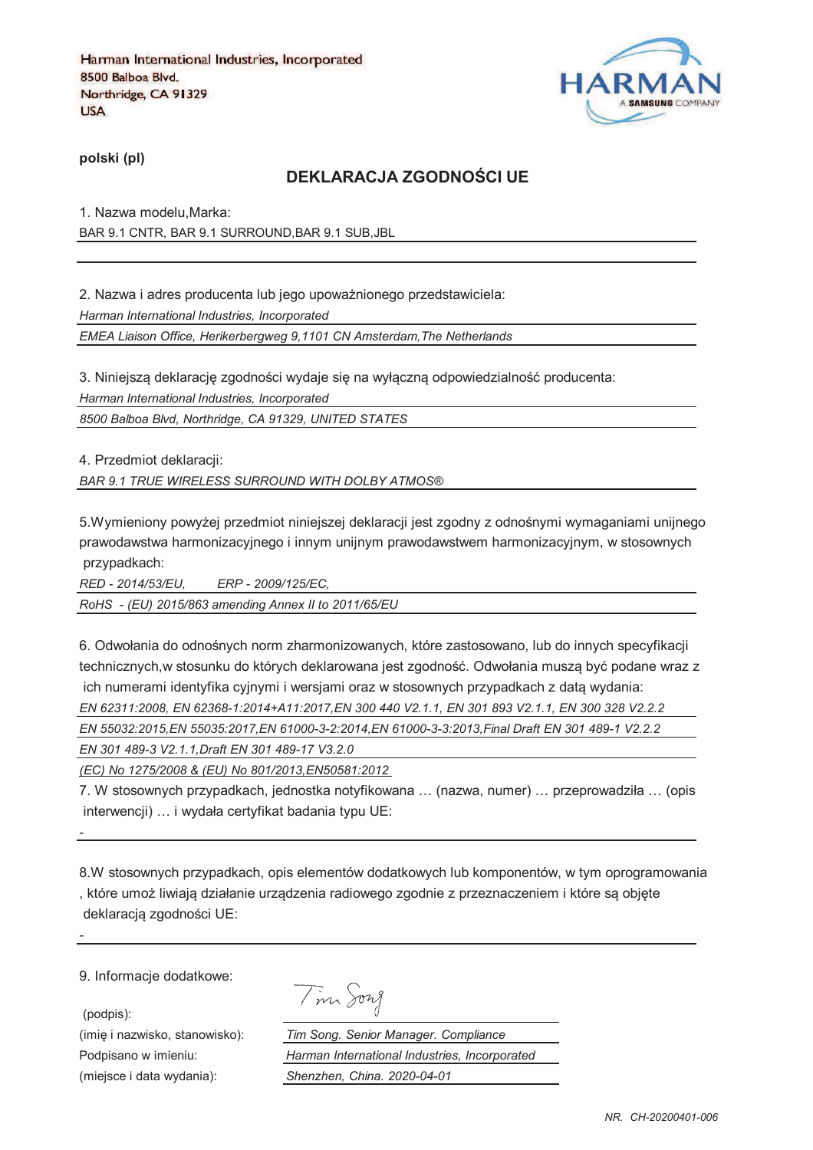

**polski (pl)**

## **DEKLARACJA ZGODNOTCI UE**

1. Nazwa modelu,Marka: BAR 9.1 CNTR, BAR 9.1 SURROUND,BAR 9.1 SUB,JBL

2. Nazwa i adres producenta lub jego upoważnionego przedstawiciela: *Harman International Industries, Incorporated EMEA Liaison Office, Herikerbergweg 9,1101 CN Amsterdam,The Netherlands*

3. Niniejszą deklarację zgodności wydaje się na wyłączną odpowiedzialność producenta: *Harman International Industries, Incorporated*

*8500 Balboa Blvd, Northridge, CA 91329, UNITED STATES*

4. Przedmiot deklaracji:

*BAR 9.1 TRUE WIRELESS SURROUND WITH DOLBY ATMOS®*

5. Wymieniony powyżej przedmiot niniejszej deklaracji jest zgodny z odnośnymi wymaganiami unijnego prawodawstwa harmonizacyjnego i innym unijnym prawodawstwem harmonizacyjnym, w stosownych przypadkach:

*RED - 2014/53/EU, ERP - 2009/125/EC, RoHS - (EU) 2015/863 amending Annex II to 2011/65/EU*

6. Odwołania do odnośnych norm zharmonizowanych, które zastosowano, lub do innych specyfikacji technicznych,w stosunku do których deklarowana jest zgodność. Odwołania musza być podane wraz z ich numerami identyfika cyjnymi i wersjami oraz w stosownych przypadkach z data wydania:

*EN 62311:2008, EN 62368-1:2014+A11:2017,EN 300 440 V2.1.1, EN 301 893 V2.1.1, EN 300 328 V2.2.2* 

*EN 55032:2015,EN 55035:2017,EN 61000-3-2:2014,EN 61000-3-3:2013,Final Draft EN 301 489-1 V2.2.2*

*EN 301 489-3 V2.1.1,Draft EN 301 489-17 V3.2.0*

*(EC) No 1275/2008 & (EU) No 801/2013,EN50581:2012* 

7. W stosownych przypadkach, jednostka notyfikowana … (nazwa, numer) … przeprowadziła … (opis interwencji) … i wydała certyfikat badania typu UE:

8.W stosownych przypadkach, opis elementów dodatkowych lub komponentów, w tym oprogramowania , które umoj liwiaja działanie urzadzenia radiowego zgodnie z przeznaczeniem i które sa objcte deklaracją zgodności UE:

9. Informacje dodatkowe:

(podpis):

*-*

*-*

Tim Song

(imię i nazwisko, stanowisko): *Tim Song. Senior Manager. Compliance* Podpisano w imieniu: *Harman International Industries, Incorporated* (miejsce i data wydania): *Shenzhen, China. 2020-04-01*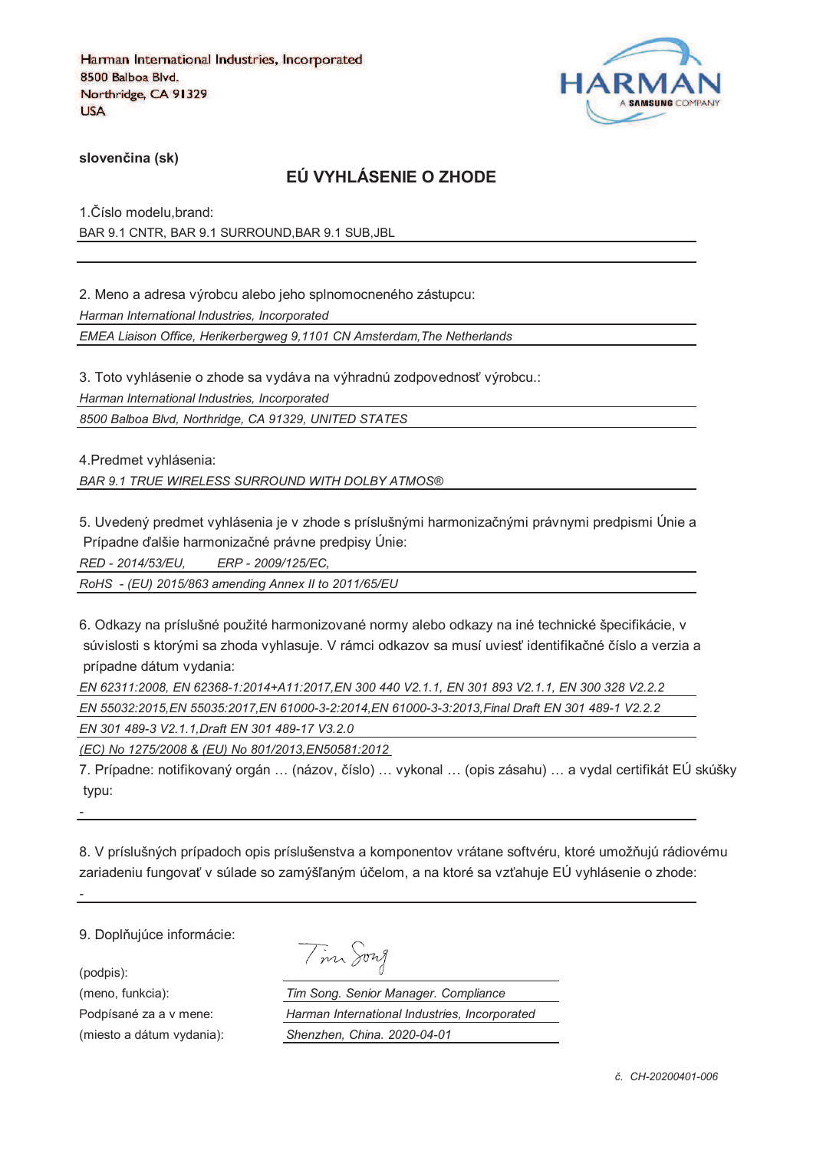

**sloven%ina (sk)**

## **EÚ VYHLÁSENIE O ZHODE**

1. Číslo modelu, brand: BAR 9.1 CNTR, BAR 9.1 SURROUND,BAR 9.1 SUB,JBL

2. Meno a adresa výrobcu alebo jeho splnomocneného zástupcu: *Harman International Industries, Incorporated EMEA Liaison Office, Herikerbergweg 9,1101 CN Amsterdam,The Netherlands*

3. Toto vyhlásenie o zhode sa vydáva na výhradnú zodpovednosť výrobcu.:

*Harman International Industries, Incorporated*

*8500 Balboa Blvd, Northridge, CA 91329, UNITED STATES*

4.Predmet vyhlásenia:

*BAR 9.1 TRUE WIRELESS SURROUND WITH DOLBY ATMOS®*

5. Uvedený predmet vyhlásenia je v zhode s príslušnými harmonizačnými právnymi predpismi Únie a Prípadne ďalšie harmonizačné právne predpisy Únie:

*RED - 2014/53/EU, ERP - 2009/125/EC,*

*RoHS - (EU) 2015/863 amending Annex II to 2011/65/EU*

6. Odkazy na príslušné použité harmonizované normy alebo odkazy na iné technické špecifikácie, v súvislosti s ktorými sa zhoda vyhlasuje. V rámci odkazov sa musí uviesť identifikačné číslo a verzia a prípadne dátum vydania:

*EN 62311:2008, EN 62368-1:2014+A11:2017,EN 300 440 V2.1.1, EN 301 893 V2.1.1, EN 300 328 V2.2.2 EN 55032:2015,EN 55035:2017,EN 61000-3-2:2014,EN 61000-3-3:2013,Final Draft EN 301 489-1 V2.2.2*

*EN 301 489-3 V2.1.1,Draft EN 301 489-17 V3.2.0*

*(EC) No 1275/2008 & (EU) No 801/2013,EN50581:2012* 

7. Prípadne: notifikovaný orgán ... (názov, číslo) ... vykonal ... (opis zásahu) ... a vydal certifikát EÚ skúšky typu:

8. V príslušných prípadoch opis príslušenstva a komponentov vrátane softvéru, ktoré umožňujú rádiovému zariadeniu fungovať v súlade so zamýšľaným účelom, a na ktoré sa vzťahuje EÚ vyhlásenie o zhode:

9. Doplňujúce informácie:

(podpis):

*-*

*-*

Tim Song

(meno, funkcia): *Tim Song. Senior Manager. Compliance* Podpísané za a v mene: *Harman International Industries, Incorporated* (miesto a dátum vydania): *Shenzhen, China. 2020-04-01*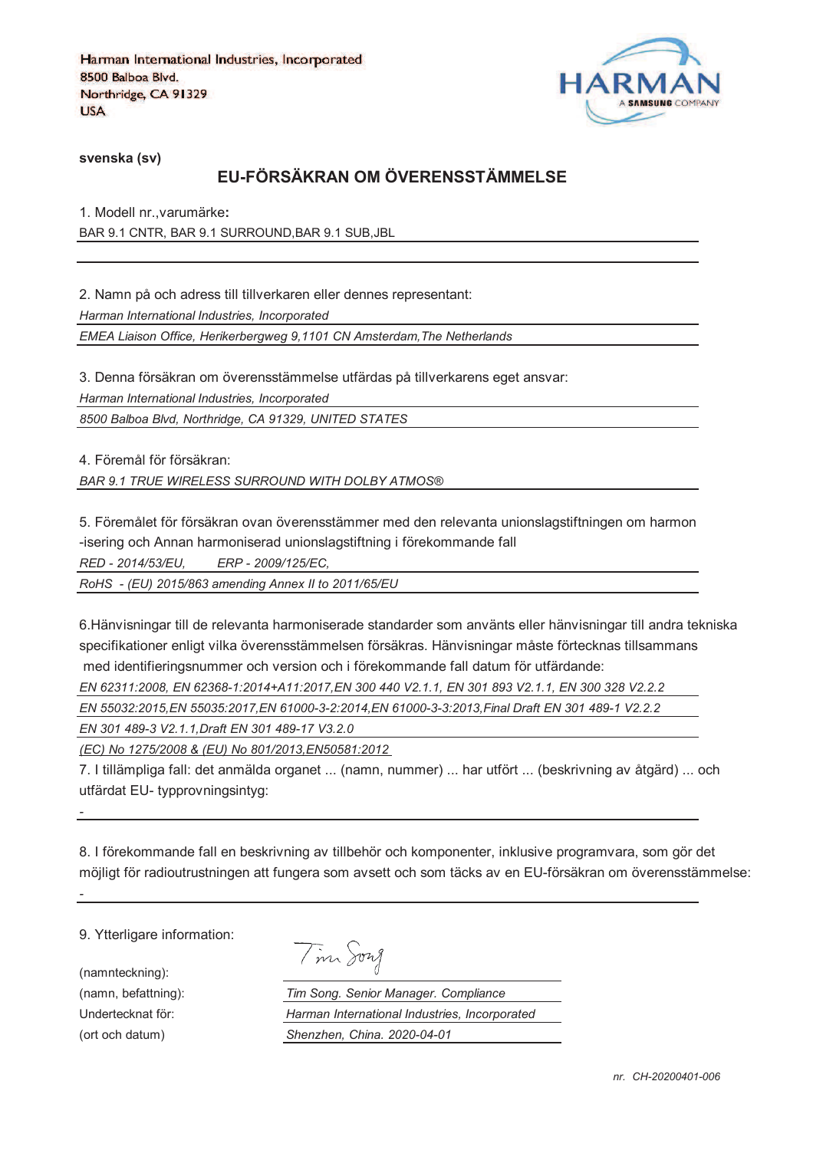

**svenska (sv)**

# **EU-FÖRSÄKRAN OM ÖVERENSSTÄMMELSE**

1. Modell nr.,varumärke**:** BAR 9.1 CNTR, BAR 9.1 SURROUND,BAR 9.1 SUB,JBL

2. Namn på och adress till tillverkaren eller dennes representant: *Harman International Industries, Incorporated EMEA Liaison Office, Herikerbergweg 9,1101 CN Amsterdam,The Netherlands*

3. Denna försäkran om överensstämmelse utfärdas på tillverkarens eget ansvar: *Harman International Industries, Incorporated 8500 Balboa Blvd, Northridge, CA 91329, UNITED STATES*

4. Föremål för försäkran:

*BAR 9.1 TRUE WIRELESS SURROUND WITH DOLBY ATMOS®*

5. Föremålet för försäkran ovan överensstämmer med den relevanta unionslagstiftningen om harmon -isering och Annan harmoniserad unionslagstiftning i förekommande fall

*RED - 2014/53/EU, ERP - 2009/125/EC,*

*RoHS - (EU) 2015/863 amending Annex II to 2011/65/EU*

6.Hänvisningar till de relevanta harmoniserade standarder som använts eller hänvisningar till andra tekniska specifikationer enligt vilka överensstämmelsen försäkras. Hänvisningar måste förtecknas tillsammans med identifieringsnummer och version och i förekommande fall datum för utfärdande:

*EN 62311:2008, EN 62368-1:2014+A11:2017,EN 300 440 V2.1.1, EN 301 893 V2.1.1, EN 300 328 V2.2.2* 

*EN 55032:2015,EN 55035:2017,EN 61000-3-2:2014,EN 61000-3-3:2013,Final Draft EN 301 489-1 V2.2.2*

*EN 301 489-3 V2.1.1,Draft EN 301 489-17 V3.2.0*

*(EC) No 1275/2008 & (EU) No 801/2013,EN50581:2012* 

7. I tillämpliga fall: det anmälda organet ... (namn, nummer) ... har utfört ... (beskrivning av åtgärd) ... och utfärdat EU- typprovningsintyg:

8. I förekommande fall en beskrivning av tillbehör och komponenter, inklusive programvara, som gör det möjligt för radioutrustningen att fungera som avsett och som täcks av en EU-försäkran om överensstämmelse:

9. Ytterligare information:

(namnteckning):

*-*

*-*

Tim Song

(namn, befattning): *Tim Song. Senior Manager. Compliance* Undertecknat för: *Harman International Industries, Incorporated* (ort och datum) *Shenzhen, China. 2020-04-01*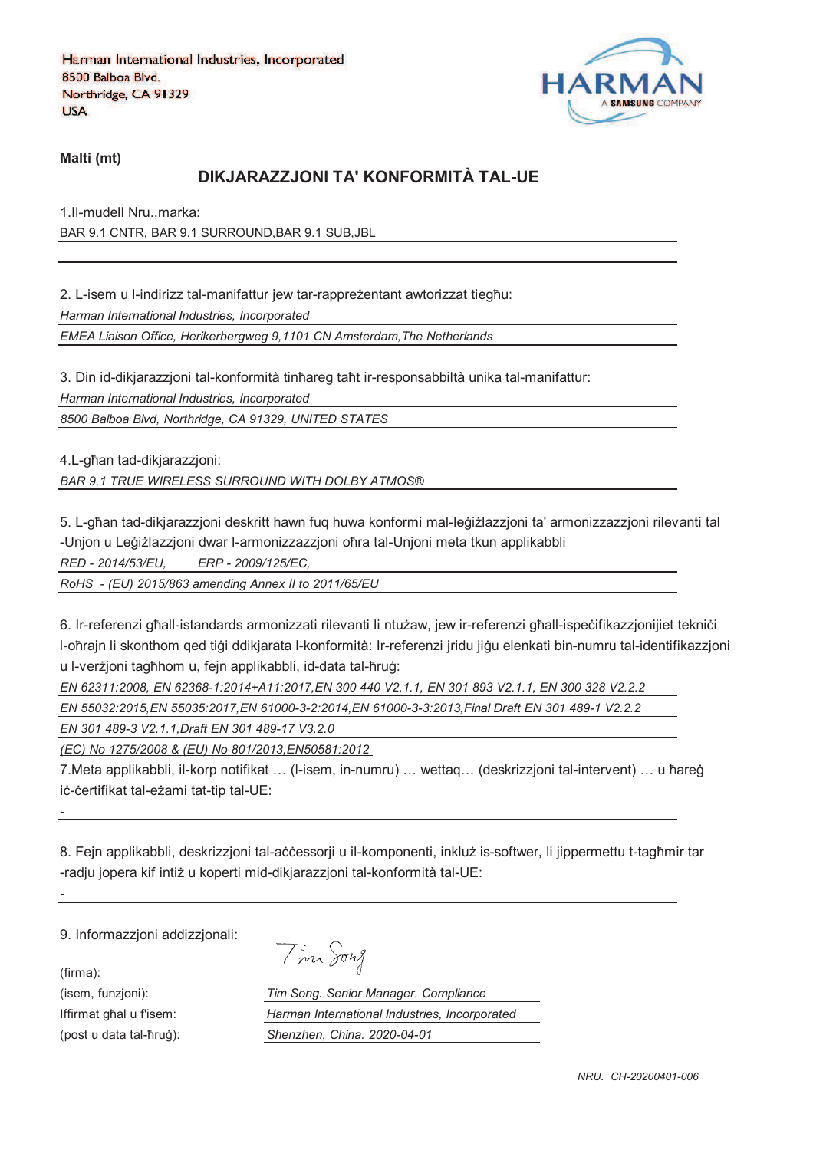

**Malti (mt)**

## **DIKJARAZZJONI TA' KONFORMITÀ TAL-UE**

1.Il-mudell Nru.,marka: BAR 9.1 CNTR, BAR 9.1 SURROUND,BAR 9.1 SUB,JBL

2. L-isem u l-indirizz tal-manifattur jew tar-rappreżentant awtorizzat tiegħu: *Harman International Industries, Incorporated*

*EMEA Liaison Office, Herikerbergweg 9,1101 CN Amsterdam,The Netherlands*

3. Din id-dikjarazzjoni tal-konformità tinħareg taħt ir-responsabbiltà unika tal-manifattur:

*Harman International Industries, Incorporated*

*8500 Balboa Blvd, Northridge, CA 91329, UNITED STATES*

4.L-ghan tad-dikjarazzjoni:

*BAR 9.1 TRUE WIRELESS SURROUND WITH DOLBY ATMOS®*

5. L-għan tad-dikiarazzioni deskritt hawn fug huwa konformi mal-leġiżlazzioni ta' armonizzazzioni rilevanti tal -Unjon u Leģiżlazzjoni dwar l-armonizzazzjoni oħra tal-Unjoni meta tkun applikabbli

*RED - 2014/53/EU, ERP - 2009/125/EC,*

*RoHS - (EU) 2015/863 amending Annex II to 2011/65/EU*

6. Ir-referenzi ghall-istandards armonizzati rilevanti li ntużaw, jew ir-referenzi ghall-ispecifikazzjonijiet teknici l-oħrajn li skonthom qed tiģi ddikjarata l-konformità: Ir-referenzi jridu jiġu elenkati bin-numru tal-identifikazzjoni u l-verzioni taghhom u, fein applikabbli, id-data tal-hrug:

*EN 62311:2008, EN 62368-1:2014+A11:2017,EN 300 440 V2.1.1, EN 301 893 V2.1.1, EN 300 328 V2.2.2* 

*EN 55032:2015,EN 55035:2017,EN 61000-3-2:2014,EN 61000-3-3:2013,Final Draft EN 301 489-1 V2.2.2*

*EN 301 489-3 V2.1.1,Draft EN 301 489-17 V3.2.0*

*(EC) No 1275/2008 & (EU) No 801/2013,EN50581:2012* 

7.Meta applikabbli, il-korp notifikat ... (I-isem, in-numru) ... wettaq... (deskrizzjoni tal-intervent) ... u ħareġ iċ-ċertifikat tal-eżami tat-tip tal-UE:

8. Fejn applikabbli, deskrizzjoni tal-accessorji u il-komponenti, inkluž is-softwer, li jippermettu t-tagħmir tar -radju jopera kif intiż u koperti mid-dikjarazzjoni tal-konformità tal-UE:

9. Informazzjoni addizzjonali:

(firma):

*-*

*-*

| $\cdot$ | $1177$ $\lambda$ |
|---------|------------------|
|         |                  |

(isem, funzjoni): *Tim Song. Senior Manager. Compliance* Iffirmat ghal u fisem: *Harman International Industries, Incorporated* (post u data tal-qrur): *Shenzhen, China. 2020-04-01*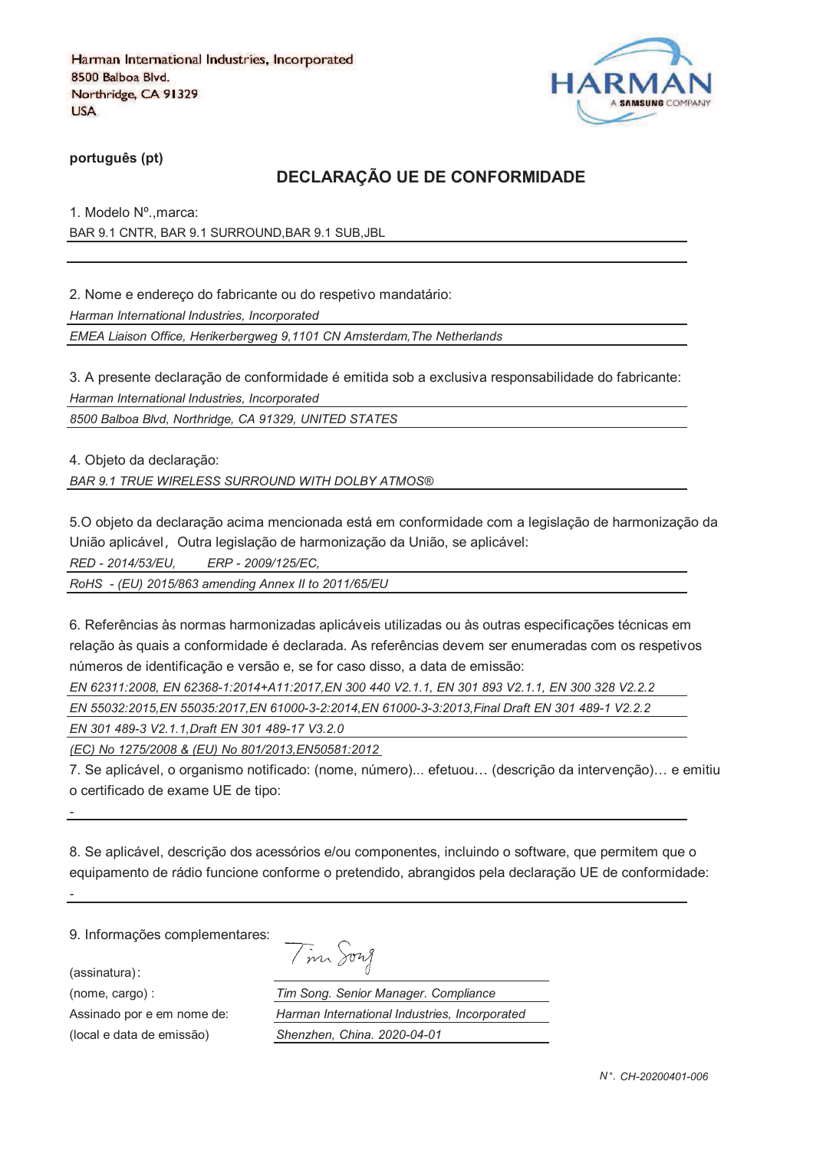

**português (pt)**

#### **DECLARAÇÃO UE DE CONFORMIDADE**

1. Modelo Nº.,marca: BAR 9.1 CNTR, BAR 9.1 SURROUND,BAR 9.1 SUB,JBL

2. Nome e endereço do fabricante ou do respetivo mandatário:

*Harman International Industries, Incorporated*

*EMEA Liaison Office, Herikerbergweg 9,1101 CN Amsterdam,The Netherlands*

3. A presente declaração de conformidade é emitida sob a exclusiva responsabilidade do fabricante: *Harman International Industries, Incorporated*

*8500 Balboa Blvd, Northridge, CA 91329, UNITED STATES*

4. Objeto da declaração:

*BAR 9.1 TRUE WIRELESS SURROUND WITH DOLBY ATMOS®*

5.O objeto da declaração acima mencionada está em conformidade com a legislação de harmonização da União aplicável, Outra legislação de harmonização da União, se aplicável:

*RED - 2014/53/EU, ERP - 2009/125/EC,*

*RoHS - (EU) 2015/863 amending Annex II to 2011/65/EU*

6. Referências às normas harmonizadas aplicáveis utilizadas ou às outras especificações técnicas em relação às quais a conformidade é declarada. As referências devem ser enumeradas com os respetivos números de identificação e versão e, se for caso disso, a data de emissão:

*EN 62311:2008, EN 62368-1:2014+A11:2017,EN 300 440 V2.1.1, EN 301 893 V2.1.1, EN 300 328 V2.2.2* 

*EN 55032:2015,EN 55035:2017,EN 61000-3-2:2014,EN 61000-3-3:2013,Final Draft EN 301 489-1 V2.2.2*

*EN 301 489-3 V2.1.1,Draft EN 301 489-17 V3.2.0*

*(EC) No 1275/2008 & (EU) No 801/2013,EN50581:2012* 

7. Se aplicável, o organismo notificado: (nome, número)... efetuou… (descrição da intervenção)… e emitiu o certificado de exame UE de tipo:

8. Se aplicável, descrição dos acessórios e/ou componentes, incluindo o software, que permitem que o equipamento de rádio funcione conforme o pretendido, abrangidos pela declaração UE de conformidade:

9. Informações complementares:

(assinatura)

*-*

*-*

|  | 1971 A |
|--|--------|
|--|--------|

(nome, cargo) : *Tim Song. Senior Manager. Compliance* Assinado por e em nome de: *Harman International Industries, Incorporated* (local e data de emissão) *Shenzhen, China. 2020-04-01*